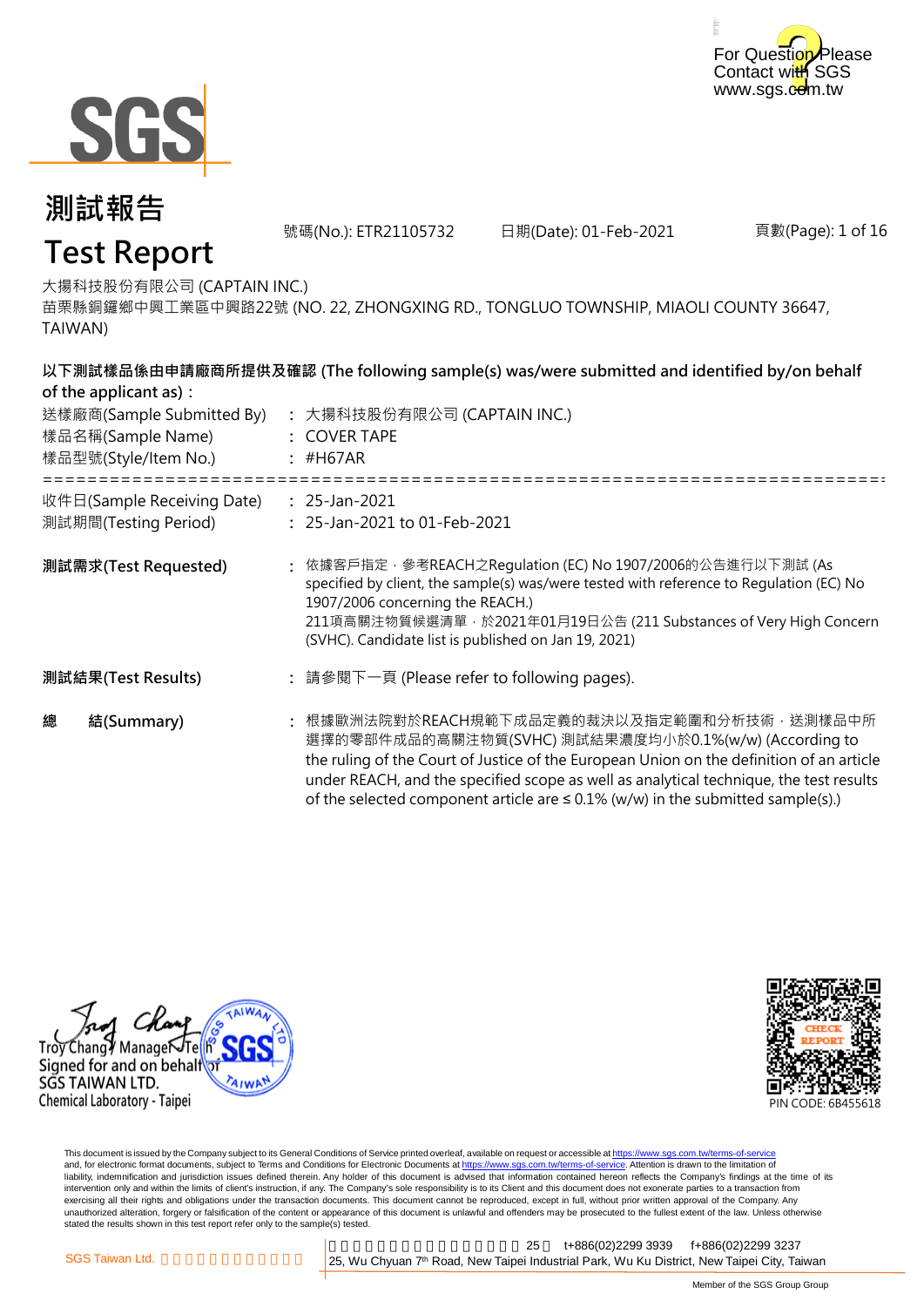



號碼(No.): ETR21105732 日期(Date): 01-Feb-2021

頁數(Page): 1 of 16

## **Test Report**

大揚科技股份有限公司 (CAPTAIN INC.)

苗栗縣銅鑼鄉中興工業區中興路22號 (NO. 22, ZHONGXING RD., TONGLUO TOWNSHIP, MIAOLI COUNTY 36647, TAIWAN)

|   | of the applicant as):<br>送樣廠商(Sample Submitted By)<br>樣品名稱(Sample Name)<br>樣品型號(Style/Item No.) | 以下測試樣品係由申請廠商所提供及確認 (The following sample(s) was/were submitted and identified by/on behalf<br>: 大揚科技股份有限公司 (CAPTAIN INC.)<br>: COVER TAPE<br>$:$ #H67AR                                                                                                                                                                                                                            |  |
|---|-------------------------------------------------------------------------------------------------|------------------------------------------------------------------------------------------------------------------------------------------------------------------------------------------------------------------------------------------------------------------------------------------------------------------------------------------------------------------------------------|--|
|   | 收件日(Sample Receiving Date)<br>測試期間(Testing Period)                                              | $: 25$ -Jan-2021<br>: 25-Jan-2021 to 01-Feb-2021                                                                                                                                                                                                                                                                                                                                   |  |
|   | 測試需求(Test Requested)                                                                            | : 依據客戶指定 · 參考REACH之Regulation (EC) No 1907/2006的公告進行以下測試 (As<br>specified by client, the sample(s) was/were tested with reference to Regulation (EC) No<br>1907/2006 concerning the REACH.)<br>211項高關注物質候選清單 · 於2021年01月19日公告 (211 Substances of Very High Concern<br>(SVHC). Candidate list is published on Jan 19, 2021)                                                         |  |
|   | 測試結果(Test Results)                                                                              | : 請參閱下一頁 (Please refer to following pages).                                                                                                                                                                                                                                                                                                                                        |  |
| 總 | 結(Summary)                                                                                      | : 根據歐洲法院對於REACH規範下成品定義的裁決以及指定範圍和分析技術,送測樣品中所<br>選擇的零部件成品的高關注物質(SVHC) 測試結果濃度均小於0.1%(w/w) (According to<br>the ruling of the Court of Justice of the European Union on the definition of an article<br>under REACH, and the specified scope as well as analytical technique, the test results<br>of the selected component article are $\leq$ 0.1% (w/w) in the submitted sample(s).) |  |





This document is issued by the Company subject to its General Conditions of Service printed overleaf, available on request or accessible at <u>https://www.sgs.com.tw/terms-of-service</u><br>and, for electronic format documents, su liability, indemnification and jurisdiction issues defined therein. Any holder of this document is advised that information contained hereon reflects the Company's findings at the time of its intervention only and within the limits of client's instruction, if any. The Company's sole responsibility is to its Client and this document does not exonerate parties to a transaction from exercising all their rights and obligations under the transaction documents. This document cannot be reproduced, except in full, without prior written approval of the Company. Any<br>unauthorized alteration, forgery or falsif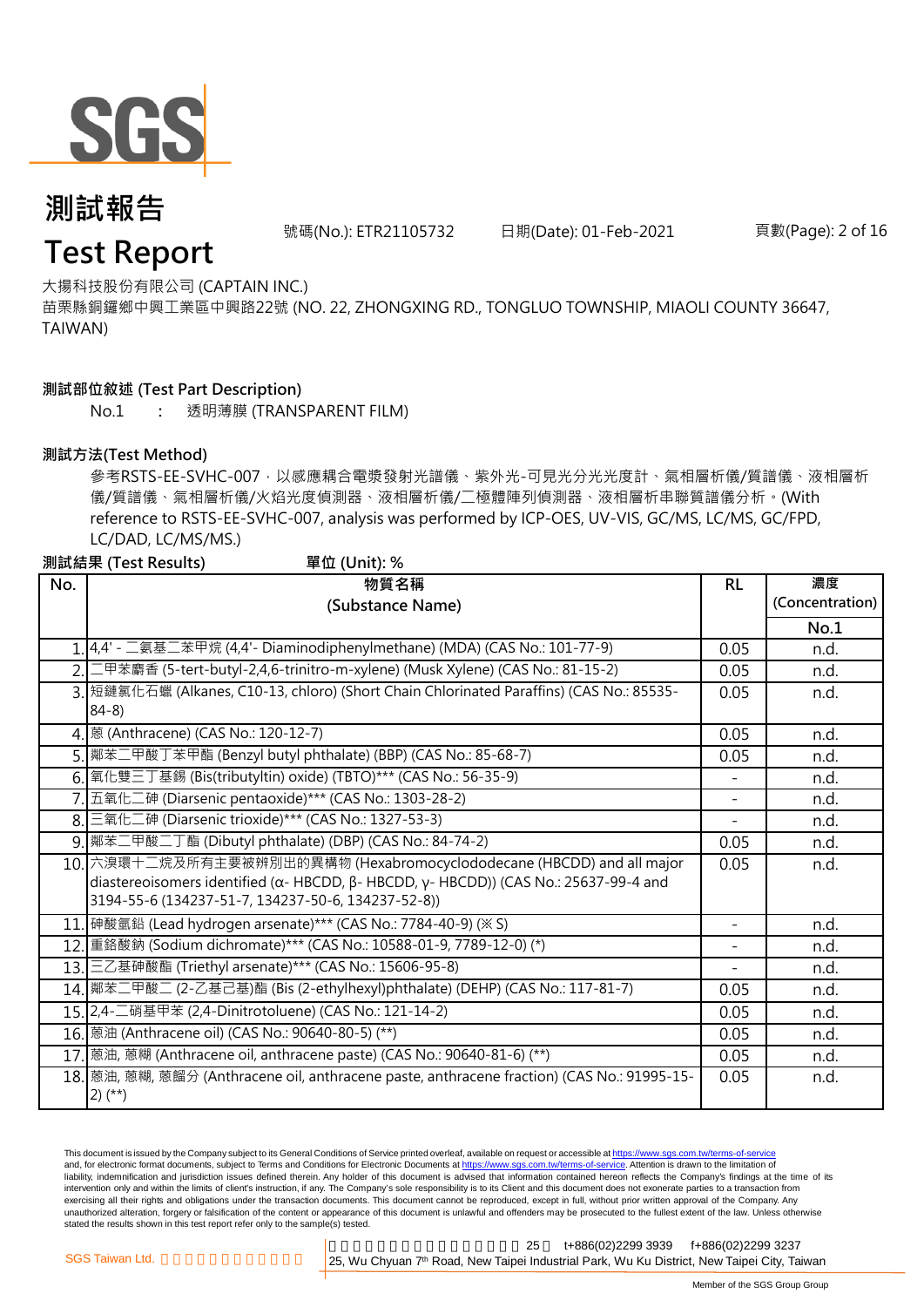

號碼(No.): ETR21105732 日期(Date): 01-Feb-2021 頁數(Page): 2 of 16

### **Test Report**

大揚科技股份有限公司 (CAPTAIN INC.)

苗栗縣銅鑼鄉中興工業區中興路22號 (NO. 22, ZHONGXING RD., TONGLUO TOWNSHIP, MIAOLI COUNTY 36647, TAIWAN)

#### **測試部位敘述 (Test Part Description)**

No.1 **:** 透明薄膜 (TRANSPARENT FILM)

#### **測試方法(Test Method)**

參考RSTS-EE-SVHC-007,以感應耦合電漿發射光譜儀、紫外光-可見光分光光度計、氣相層析儀/質譜儀、液相層析 儀/質譜儀、氣相層析儀/火焰光度偵測器、液相層析儀/二極體陣列偵測器、液相層析串聯質譜儀分析。(With reference to RSTS-EE-SVHC-007, analysis was performed by ICP-OES, UV-VIS, GC/MS, LC/MS, GC/FPD, LC/DAD, LC/MS/MS.)

| 測試結果 (Test Results)<br>單位 (Unit): % |                                                                                                              |                          |                 |  |  |
|-------------------------------------|--------------------------------------------------------------------------------------------------------------|--------------------------|-----------------|--|--|
| No.                                 | 物質名稱                                                                                                         | <b>RL</b>                | 濃度              |  |  |
|                                     | (Substance Name)                                                                                             |                          | (Concentration) |  |  |
|                                     |                                                                                                              |                          | No.1            |  |  |
|                                     | 1. 4,4' - 二氨基二苯甲烷 (4,4' - Diaminodiphenylmethane) (MDA) (CAS No.: 101-77-9)                                  | 0.05                     | n.d.            |  |  |
|                                     | 2. 工甲苯麝香 (5-tert-butyl-2,4,6-trinitro-m-xylene) (Musk Xylene) (CAS No.: 81-15-2)                             | 0.05                     | n.d.            |  |  |
|                                     | 3. 短鏈氯化石蠟 (Alkanes, C10-13, chloro) (Short Chain Chlorinated Paraffins) (CAS No.: 85535-<br>$84-8$           | 0.05                     | n.d.            |  |  |
|                                     | 4. 感 (Anthracene) (CAS No.: 120-12-7)                                                                        | 0.05                     | n.d.            |  |  |
|                                     | 5. 鄰苯二甲酸丁苯甲酯 (Benzyl butyl phthalate) (BBP) (CAS No.: 85-68-7)                                               | 0.05                     | n.d.            |  |  |
|                                     | 6. 氧化雙三丁基錫 (Bis(tributyItin) oxide) (TBTO)*** (CAS No.: 56-35-9)                                             |                          | n.d.            |  |  |
|                                     | 7. 五氧化二砷 (Diarsenic pentaoxide)*** (CAS No.: 1303-28-2)                                                      | $\overline{\phantom{0}}$ | n.d.            |  |  |
|                                     | 8. 三氧化二砷 (Diarsenic trioxide)*** (CAS No.: 1327-53-3)                                                        |                          | n.d.            |  |  |
|                                     | 9. 鄰苯二甲酸二丁酯 (Dibutyl phthalate) (DBP) (CAS No.: 84-74-2)                                                     | 0.05                     | n.d.            |  |  |
|                                     | 10. 六溴環十二烷及所有主要被辨別出的異構物 (Hexabromocyclododecane (HBCDD) and all major                                        | 0.05                     | n.d.            |  |  |
|                                     | diastereoisomers identified ( $\alpha$ - HBCDD, $\beta$ - HBCDD, $\gamma$ - HBCDD)) (CAS No.: 25637-99-4 and |                          |                 |  |  |
|                                     | 3194-55-6 (134237-51-7, 134237-50-6, 134237-52-8))                                                           |                          |                 |  |  |
|                                     | 11. 砷酸氫鉛 (Lead hydrogen arsenate)*** (CAS No.: 7784-40-9) (※ S)                                              | $\overline{a}$           | n.d.            |  |  |
|                                     | 12. 重鉻酸鈉 (Sodium dichromate)*** (CAS No.: 10588-01-9, 7789-12-0) (*)                                         | $\overline{\phantom{0}}$ | n.d.            |  |  |
|                                     | 13. 三乙基砷酸酯 (Triethyl arsenate)*** (CAS No.: 15606-95-8)                                                      |                          | n.d.            |  |  |
|                                     | 14. 鄰苯二甲酸二 (2-乙基己基)酯 (Bis (2-ethylhexyl)phthalate) (DEHP) (CAS No.: 117-81-7)                                | 0.05                     | n.d.            |  |  |
|                                     | 15. 2, 4- 二硝基甲苯 (2, 4- Dinitrotoluene) (CAS No.: 121-14-2)                                                   | 0.05                     | n.d.            |  |  |
|                                     | 16. 感油 (Anthracene oil) (CAS No.: 90640-80-5) (**)                                                           | 0.05                     | n.d.            |  |  |
|                                     | 17. 蒽油, 蒽糊 (Anthracene oil, anthracene paste) (CAS No.: 90640-81-6) (**)                                     | 0.05                     | n.d.            |  |  |
|                                     | 18. 感油, 蒽糊, 蒽餾分 (Anthracene oil, anthracene paste, anthracene fraction) (CAS No.: 91995-15-<br>$2)$ (**)     | 0.05                     | n.d.            |  |  |

This document is issued by the Company subject to its General Conditions of Service printed overleaf, available on request or accessible at https://www.sgs.com.tw/terms-of-service and, for electronic format documents, subject to Terms and Conditions for Electronic Documents at https://www.sgs.com.tw/terms-of-service. Attention is drawn to the limitation of liability, indemnification and jurisdiction issues defined therein. Any holder of this document is advised that information contained hereon reflects the Company's findings at the time of its intervention only and within the limits of client's instruction, if any. The Company's sole responsibility is to its Client and this document does not exonerate parties to a transaction from exercising all their rights and obligations under the transaction documents. This document cannot be reproduced, except in full, without prior written approval of the Company. Any<br>unauthorized alteration, forgery or falsif stated the results shown in this test report refer only to the sample(s) tested.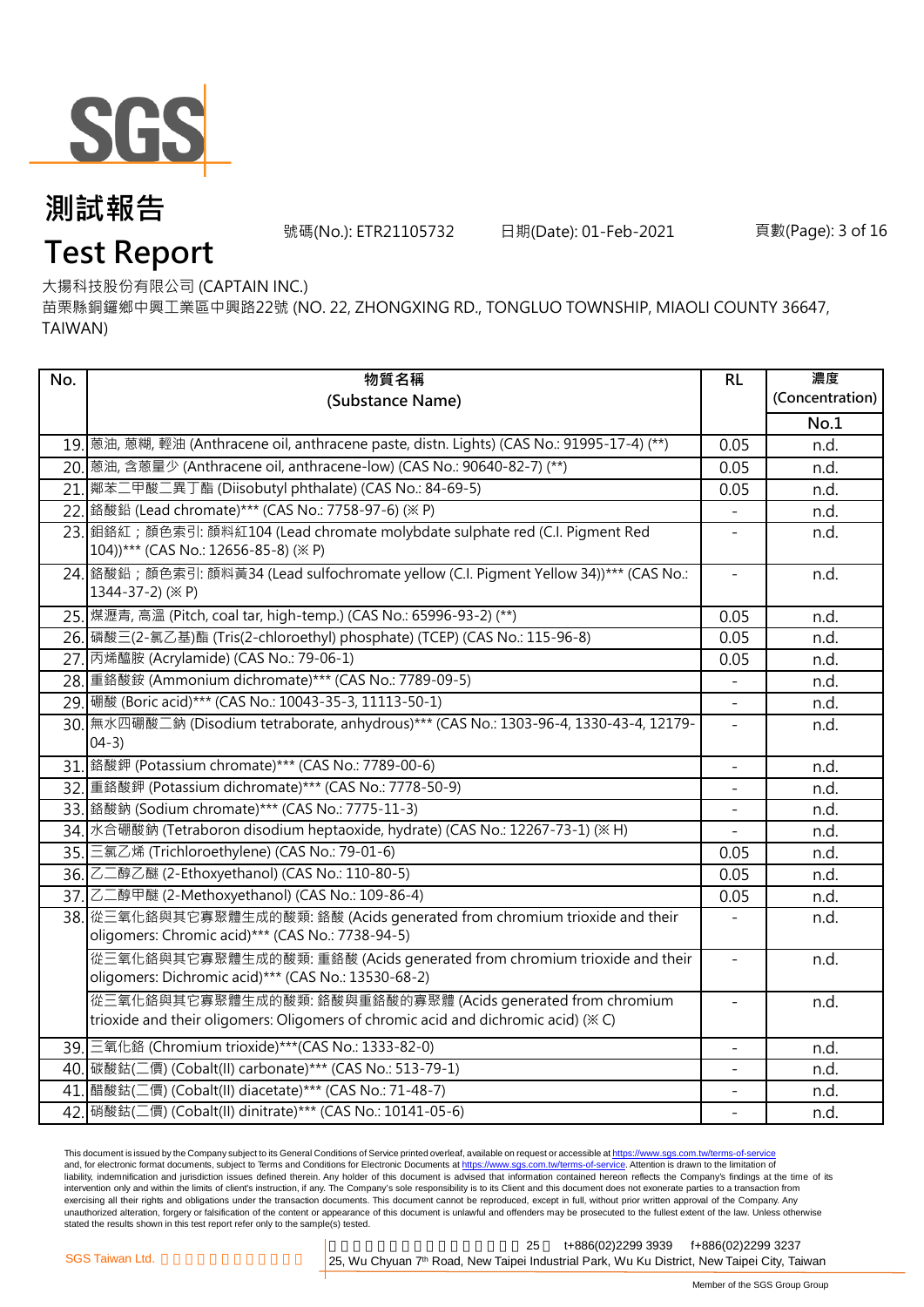

號碼(No.): ETR21105732 日期(Date): 01-Feb-2021 頁數(Page): 3 of 16

# **Test Report**

大揚科技股份有限公司 (CAPTAIN INC.)

苗栗縣銅鑼鄉中興工業區中興路22號 (NO. 22, ZHONGXING RD., TONGLUO TOWNSHIP, MIAOLI COUNTY 36647, TAIWAN)

| No. | 物質名稱                                                                                                                                           | RL                       | 濃度              |
|-----|------------------------------------------------------------------------------------------------------------------------------------------------|--------------------------|-----------------|
|     | (Substance Name)                                                                                                                               |                          | (Concentration) |
|     |                                                                                                                                                |                          | No.1            |
|     | 19. 蒽油, 蒽糊, 輕油 (Anthracene oil, anthracene paste, distn. Lights) (CAS No.: 91995-17-4) (**)                                                    | 0.05                     | n.d.            |
|     | 20.  蒽油, 含蒽量少 (Anthracene oil, anthracene-low) (CAS No.: 90640-82-7) (**)                                                                      | 0.05                     | n.d.            |
|     | 21. 鄰苯二甲酸二異丁酯 (Diisobutyl phthalate) (CAS No.: 84-69-5)                                                                                        | 0.05                     | n.d.            |
|     | 22. 鉻酸鉛 (Lead chromate)*** (CAS No.: 7758-97-6) (※ P)                                                                                          |                          | n.d.            |
|     | 23. 鉬鉻紅; 顏色索引: 顏料紅104 (Lead chromate molybdate sulphate red (C.I. Pigment Red<br>104))*** (CAS No.: 12656-85-8) (※ P)                          | $\bar{ }$                | n.d.            |
|     | 24. 鉻酸鉛; 顏色索引: 顏料黃34 (Lead sulfochromate yellow (C.I. Pigment Yellow 34))*** (CAS No.:<br>1344-37-2) (※ P)                                     | $\qquad \qquad -$        | n.d.            |
|     | 25. 煤瀝青, 高溫 (Pitch, coal tar, high-temp.) (CAS No.: 65996-93-2) (**)                                                                           | 0.05                     | n.d.            |
|     | 26. 磷酸三(2-氯乙基)酯 (Tris(2-chloroethyl) phosphate) (TCEP) (CAS No.: 115-96-8)                                                                     | 0.05                     | n.d.            |
|     | 27. 丙烯醯胺 (Acrylamide) (CAS No.: 79-06-1)                                                                                                       | 0.05                     | n.d.            |
|     | 28. 重鉻酸銨 (Ammonium dichromate) *** (CAS No.: 7789-09-5)                                                                                        |                          | n.d.            |
|     | 29. 硼酸 (Boric acid)*** (CAS No.: 10043-35-3, 11113-50-1)                                                                                       |                          | n.d.            |
|     | 30. 無水四硼酸二鈉 (Disodium tetraborate, anhydrous)*** (CAS No.: 1303-96-4, 1330-43-4, 12179-<br>$04-3)$                                             | $\blacksquare$           | n.d.            |
|     | 31. 鉻酸鉀 (Potassium chromate)*** (CAS No.: 7789-00-6)                                                                                           | $\overline{\phantom{a}}$ | n.d.            |
|     | 32. 重鉻酸鉀 (Potassium dichromate)*** (CAS No.: 7778-50-9)                                                                                        | $\overline{a}$           | n.d.            |
|     | 33. 鉻酸鈉 (Sodium chromate)*** (CAS No.: 7775-11-3)                                                                                              | $\equiv$                 | n.d.            |
|     | 34. 水合硼酸鈉 (Tetraboron disodium heptaoxide, hydrate) (CAS No.: 12267-73-1) (※ H)                                                                |                          | n.d.            |
|     | 35. 三氯乙烯 (Trichloroethylene) (CAS No.: 79-01-6)                                                                                                | 0.05                     | n.d.            |
|     | 36. 乙二醇乙醚 (2-Ethoxyethanol) (CAS No.: 110-80-5)                                                                                                | 0.05                     | n.d.            |
|     | 37. 乙二醇甲醚 (2-Methoxyethanol) (CAS No.: 109-86-4)                                                                                               | 0.05                     | n.d.            |
|     | 38. 從三氧化鉻與其它寡聚體生成的酸類: 鉻酸 (Acids generated from chromium trioxide and their<br>oligomers: Chromic acid)*** (CAS No.: 7738-94-5)                 |                          | n.d.            |
|     | 從三氧化鉻與其它寡聚體生成的酸類: 重鉻酸 (Acids generated from chromium trioxide and their<br>oligomers: Dichromic acid)*** (CAS No.: 13530-68-2)                 | $\frac{1}{2}$            | n.d.            |
|     | 從三氧化鉻與其它寡聚體生成的酸類:鉻酸與重鉻酸的寡聚體 (Acids generated from chromium<br>trioxide and their oligomers: Oligomers of chromic acid and dichromic acid) (*C) | $\overline{\phantom{a}}$ | n.d.            |
|     | 39. 三氧化鉻 (Chromium trioxide)***(CAS No.: 1333-82-0)                                                                                            | $\overline{a}$           | n.d.            |
|     | 40. 碳酸鈷(二價) (Cobalt(II) carbonate)*** (CAS No.: 513-79-1)                                                                                      |                          | n.d.            |
|     | 41. 醋酸鈷(二價) (Cobalt(II) diacetate)*** (CAS No.: 71-48-7)                                                                                       | $\overline{\phantom{0}}$ | n.d.            |
|     | 42. 硝酸鈷(二價) (Cobalt(II) dinitrate)*** (CAS No.: 10141-05-6)                                                                                    | $\overline{\phantom{a}}$ | n.d.            |

This document is issued by the Company subject to its General Conditions of Service printed overleaf, available on request or accessible at <u>https://www.sgs.com.tw/terms-of-service</u><br>and, for electronic format documents, su liability, indemnification and jurisdiction issues defined therein. Any holder of this document is advised that information contained hereon reflects the Company's findings at the time of its intervention only and within the limits of client's instruction, if any. The Company's sole responsibility is to its Client and this document does not exonerate parties to a transaction from exercising all their rights and obligations under the transaction documents. This document cannot be reproduced, except in full, without prior written approval of the Company. Any<br>unauthorized alteration, forgery or falsif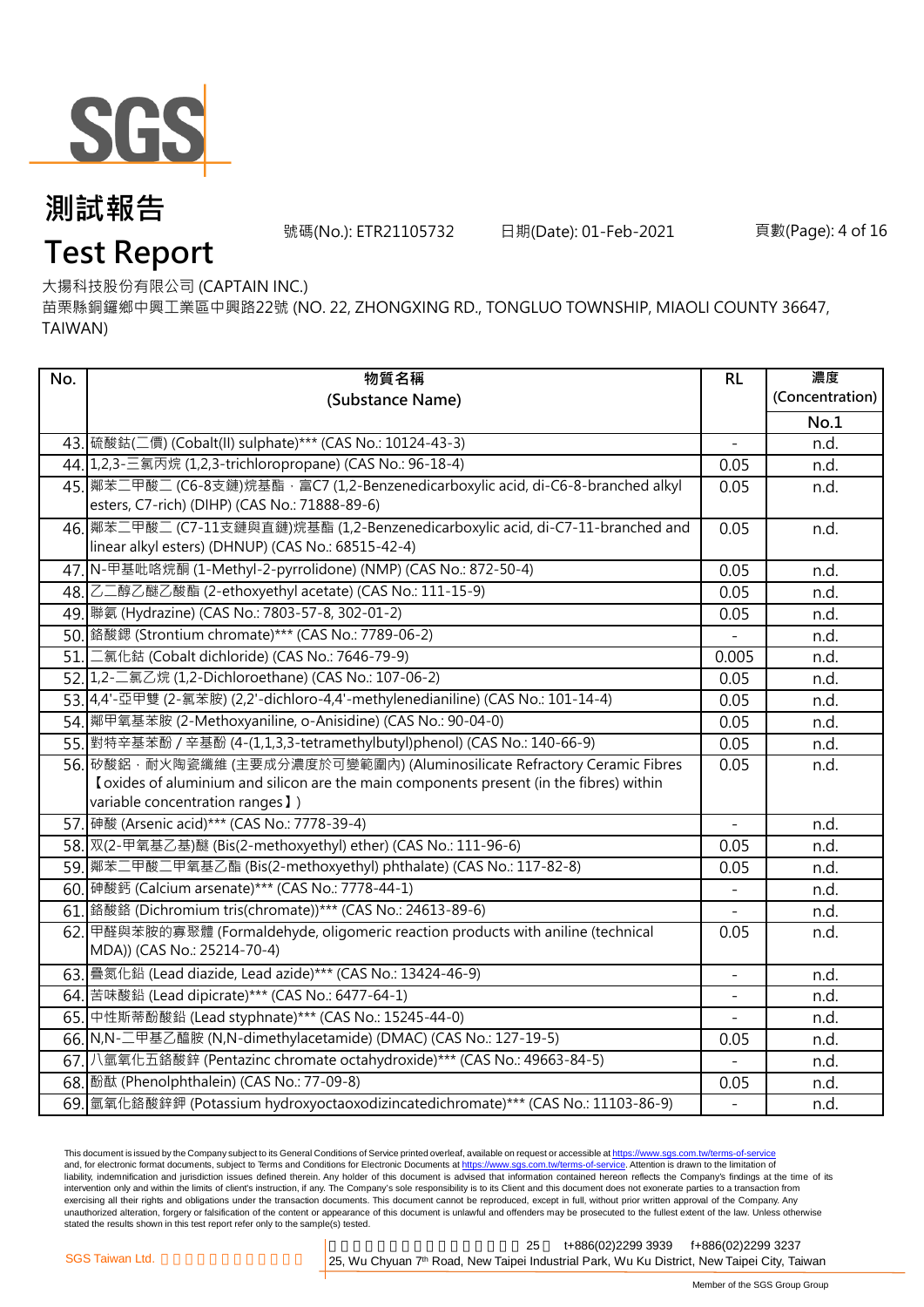

號碼(No.): ETR21105732 日期(Date): 01-Feb-2021 頁數(Page): 4 of 16

# **Test Report**

大揚科技股份有限公司 (CAPTAIN INC.)

苗栗縣銅鑼鄉中興工業區中興路22號 (NO. 22, ZHONGXING RD., TONGLUO TOWNSHIP, MIAOLI COUNTY 36647, TAIWAN)

| No. | 物質名稱                                                                                     | RL             | 濃度              |
|-----|------------------------------------------------------------------------------------------|----------------|-----------------|
|     | (Substance Name)                                                                         |                | (Concentration) |
|     |                                                                                          |                | No.1            |
|     | 43. 硫酸鈷(二價) (Cobalt(II) sulphate)*** (CAS No.: 10124-43-3)                               |                | n.d.            |
|     | 44. 1,2,3-三氯丙烷 (1,2,3-trichloropropane) (CAS No.: 96-18-4)                               | 0.05           | n.d.            |
|     | 45. 鄰苯二甲酸二 (C6-8支鏈)烷基酯 · 富C7 (1,2-Benzenedicarboxylic acid, di-C6-8-branched alkyl       | 0.05           | n.d.            |
|     | esters, C7-rich) (DIHP) (CAS No.: 71888-89-6)                                            |                |                 |
|     | 46. 鄰苯二甲酸二 (C7-11支鏈與直鏈)烷基酯 (1,2-Benzenedicarboxylic acid, di-C7-11-branched and          | 0.05           | n.d.            |
|     | linear alkyl esters) (DHNUP) (CAS No.: 68515-42-4)                                       |                |                 |
|     | 47. N-甲基吡咯烷酮 (1-Methyl-2-pyrrolidone) (NMP) (CAS No.: 872-50-4)                          | 0.05           | n.d.            |
|     | 48. 乙二醇乙醚乙酸酯 (2-ethoxyethyl acetate) (CAS No.: 111-15-9)                                 | 0.05           | n.d.            |
|     | 49. 聯氨 (Hydrazine) (CAS No.: 7803-57-8, 302-01-2)                                        | 0.05           | n.d.            |
|     | 50. 鉻酸鍶 (Strontium chromate)*** (CAS No.: 7789-06-2)                                     |                | n.d.            |
|     | 51. 二氯化鈷 (Cobalt dichloride) (CAS No.: 7646-79-9)                                        | 0.005          | n.d.            |
|     | 52. 1,2-二氯乙烷 (1,2-Dichloroethane) (CAS No.: 107-06-2)                                    | 0.05           | n.d.            |
|     | 53.4.4'-亞甲雙 (2-氯苯胺) (2,2'-dichloro-4,4'-methylenedianiline) (CAS No.: 101-14-4)          | 0.05           | n.d.            |
|     | 54. 鄰甲氧基苯胺 (2-Methoxyaniline, o-Anisidine) (CAS No.: 90-04-0)                            | 0.05           | n.d.            |
|     | 55. 對特辛基苯酚 / 辛基酚 (4-(1,1,3,3-tetramethylbutyl)phenol) (CAS No.: 140-66-9)                | 0.05           | n.d.            |
|     | 56. 矽酸鋁, 耐火陶瓷纖維 (主要成分濃度於可變範圍內) (Aluminosilicate Refractory Ceramic Fibres                | 0.05           | n.d.            |
|     | I oxides of aluminium and silicon are the main components present (in the fibres) within |                |                 |
|     | variable concentration ranges 1)                                                         |                |                 |
|     | 57. 砷酸 (Arsenic acid)*** (CAS No.: 7778-39-4)                                            | $\mathbf{r}$   | n.d.            |
|     | 58. 双(2-甲氧基乙基)醚 (Bis(2-methoxyethyl) ether) (CAS No.: 111-96-6)                          | 0.05           | n.d.            |
|     | 59.   鄰苯二甲酸二甲氧基乙酯 (Bis(2-methoxyethyl) phthalate) (CAS No.: 117-82-8)                    | 0.05           | n.d.            |
|     | 60. 砷酸鈣 (Calcium arsenate)*** (CAS No.: 7778-44-1)                                       |                | n.d.            |
|     | 61. 鉻酸鉻 (Dichromium tris(chromate))*** (CAS No.: 24613-89-6)                             |                | n.d.            |
|     | 62. 甲醛與苯胺的寡聚體 (Formaldehyde, oligomeric reaction products with aniline (technical        | 0.05           | n.d.            |
|     | MDA)) (CAS No.: 25214-70-4)                                                              |                |                 |
|     | 63. 疊氮化鉛 (Lead diazide, Lead azide)*** (CAS No.: 13424-46-9)                             | $\blacksquare$ | n.d.            |
|     | 64. 苦味酸鉛 (Lead dipicrate) *** (CAS No.: 6477-64-1)                                       |                | n.d.            |
|     | 65. 中性斯蒂酚酸鉛 (Lead styphnate)*** (CAS No.: 15245-44-0)                                    |                | n.d.            |
|     | 66. N,N-二甲基乙醯胺 (N,N-dimethylacetamide) (DMAC) (CAS No.: 127-19-5)                        | 0.05           | n.d.            |
|     | 67. 八氫氧化五鉻酸鋅 (Pentazinc chromate octahydroxide)*** (CAS No.: 49663-84-5)                 |                | n.d.            |
|     | 68. 酚酞 (Phenolphthalein) (CAS No.: 77-09-8)                                              | 0.05           | n.d.            |
|     | 69. 氫氧化鉻酸鋅鉀 (Potassium hydroxyoctaoxodizincatedichromate)*** (CAS No.: 11103-86-9)       | $\overline{a}$ | n.d.            |

This document is issued by the Company subject to its General Conditions of Service printed overleaf, available on request or accessible at <u>https://www.sgs.com.tw/terms-of-service</u><br>and, for electronic format documents, su liability, indemnification and jurisdiction issues defined therein. Any holder of this document is advised that information contained hereon reflects the Company's findings at the time of its intervention only and within the limits of client's instruction, if any. The Company's sole responsibility is to its Client and this document does not exonerate parties to a transaction from exercising all their rights and obligations under the transaction documents. This document cannot be reproduced, except in full, without prior written approval of the Company. Any<br>unauthorized alteration, forgery or falsif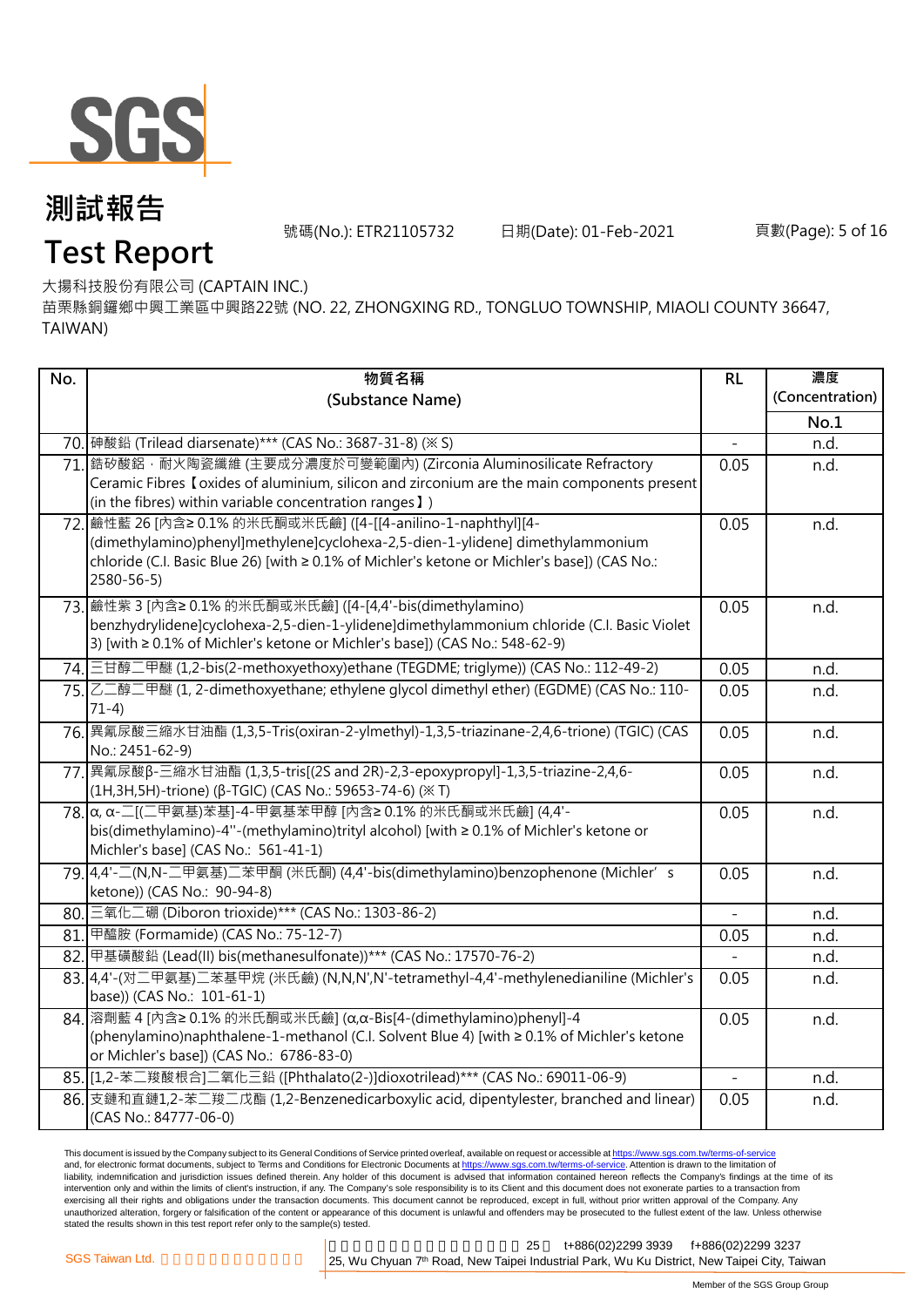

號碼(No.): ETR21105732 日期(Date): 01-Feb-2021 頁數(Page): 5 of 16

### **Test Report**

大揚科技股份有限公司 (CAPTAIN INC.)

苗栗縣銅鑼鄉中興工業區中興路22號 (NO. 22, ZHONGXING RD., TONGLUO TOWNSHIP, MIAOLI COUNTY 36647, TAIWAN)

| (Substance Name)<br>No.1<br>70. 砷酸鉛 (Trilead diarsenate)*** (CAS No.: 3687-31-8) (※ S)<br>n.d.<br>71. 鋯矽酸鋁, 耐火陶瓷纖維 (主要成分濃度於可變範圍內) (Zirconia Aluminosilicate Refractory<br>0.05<br>n.d.<br>Ceramic Fibres I oxides of aluminium, silicon and zirconium are the main components present<br>(in the fibres) within variable concentration ranges I)<br>72. 鹼性藍 26 [內含≥ 0.1% 的米氏酮或米氏鹼] ([4-[[4-anilino-1-naphthyl][4-<br>0.05<br>n.d.<br>(dimethylamino)phenyl]methylene]cyclohexa-2,5-dien-1-ylidene] dimethylammonium<br>chloride (C.I. Basic Blue 26) [with ≥ 0.1% of Michler's ketone or Michler's base]) (CAS No.:<br>2580-56-5)<br>73. 鹼性紫 3 [內含≥ 0.1% 的米氏酮或米氏鹼] ([4-[4,4'-bis(dimethylamino)<br>0.05<br>n.d.<br>benzhydrylidene]cyclohexa-2,5-dien-1-ylidene]dimethylammonium chloride (C.I. Basic Violet<br>3) [with ≥ 0.1% of Michler's ketone or Michler's base]) (CAS No.: 548-62-9)<br>74. 三甘醇二甲醚 (1,2-bis(2-methoxyethoxy)ethane (TEGDME; triglyme)) (CAS No.: 112-49-2)<br>0.05<br>n.d.<br>75. 乙二醇二甲醚 (1, 2-dimethoxyethane; ethylene glycol dimethyl ether) (EGDME) (CAS No.: 110-<br>0.05<br>n.d.<br>$71-4)$<br>76. 異氰尿酸三縮水甘油酯 (1,3,5-Tris(oxiran-2-ylmethyl)-1,3,5-triazinane-2,4,6-trione) (TGIC) (CAS<br>0.05<br>n.d.<br>No.: 2451-62-9)<br>77. 異氰尿酸β-三縮水甘油酯 (1,3,5-tris[(2S and 2R)-2,3-epoxypropyl]-1,3,5-triazine-2,4,6-<br>0.05<br>n.d.<br>(1H,3H,5H)-trione) (β-TGIC) (CAS No.: 59653-74-6) (※ T)<br>78. α, α-二[(二甲氨基)苯基]-4-甲氨基苯甲醇 [内含≥ 0.1% 的米氏酮或米氏鹼] (4,4'-<br>0.05<br>n.d.<br>bis(dimethylamino)-4"-(methylamino)trityl alcohol) [with ≥ 0.1% of Michler's ketone or<br>Michler's base] (CAS No.: 561-41-1)<br>79.4,4'-二(N,N-二甲氨基)二苯甲酮 (米氏酮) (4,4'-bis(dimethylamino)benzophenone (Michler's<br>n.d.<br>0.05<br>ketone)) (CAS No.: 90-94-8)<br>80. 三氧化二硼 (Diboron trioxide)*** (CAS No.: 1303-86-2)<br>n.d.<br>81. 甲醯胺 (Formamide) (CAS No.: 75-12-7)<br>0.05<br>n.d.<br>82. 甲基磺酸鉛 (Lead(II) bis(methanesulfonate))*** (CAS No.: 17570-76-2)<br>n.d.<br>83.4.4'-(对二甲氨基)二苯基甲烷 (米氏鹼) (N,N,N',N'-tetramethyl-4,4'-methylenedianiline (Michler's<br>0.05<br>n.d. | No. | 物質名稱 | RL | 濃度              |
|-------------------------------------------------------------------------------------------------------------------------------------------------------------------------------------------------------------------------------------------------------------------------------------------------------------------------------------------------------------------------------------------------------------------------------------------------------------------------------------------------------------------------------------------------------------------------------------------------------------------------------------------------------------------------------------------------------------------------------------------------------------------------------------------------------------------------------------------------------------------------------------------------------------------------------------------------------------------------------------------------------------------------------------------------------------------------------------------------------------------------------------------------------------------------------------------------------------------------------------------------------------------------------------------------------------------------------------------------------------------------------------------------------------------------------------------------------------------------------------------------------------------------------------------------------------------------------------------------------------------------------------------------------------------------------------------------------------------------------------------------------------------------------------------------------------------------------------------------------------------------------------------------------------------------------------------------------------------------------------------------------------------------------------------------------------------------------------|-----|------|----|-----------------|
|                                                                                                                                                                                                                                                                                                                                                                                                                                                                                                                                                                                                                                                                                                                                                                                                                                                                                                                                                                                                                                                                                                                                                                                                                                                                                                                                                                                                                                                                                                                                                                                                                                                                                                                                                                                                                                                                                                                                                                                                                                                                                     |     |      |    | (Concentration) |
|                                                                                                                                                                                                                                                                                                                                                                                                                                                                                                                                                                                                                                                                                                                                                                                                                                                                                                                                                                                                                                                                                                                                                                                                                                                                                                                                                                                                                                                                                                                                                                                                                                                                                                                                                                                                                                                                                                                                                                                                                                                                                     |     |      |    |                 |
|                                                                                                                                                                                                                                                                                                                                                                                                                                                                                                                                                                                                                                                                                                                                                                                                                                                                                                                                                                                                                                                                                                                                                                                                                                                                                                                                                                                                                                                                                                                                                                                                                                                                                                                                                                                                                                                                                                                                                                                                                                                                                     |     |      |    |                 |
|                                                                                                                                                                                                                                                                                                                                                                                                                                                                                                                                                                                                                                                                                                                                                                                                                                                                                                                                                                                                                                                                                                                                                                                                                                                                                                                                                                                                                                                                                                                                                                                                                                                                                                                                                                                                                                                                                                                                                                                                                                                                                     |     |      |    |                 |
|                                                                                                                                                                                                                                                                                                                                                                                                                                                                                                                                                                                                                                                                                                                                                                                                                                                                                                                                                                                                                                                                                                                                                                                                                                                                                                                                                                                                                                                                                                                                                                                                                                                                                                                                                                                                                                                                                                                                                                                                                                                                                     |     |      |    |                 |
|                                                                                                                                                                                                                                                                                                                                                                                                                                                                                                                                                                                                                                                                                                                                                                                                                                                                                                                                                                                                                                                                                                                                                                                                                                                                                                                                                                                                                                                                                                                                                                                                                                                                                                                                                                                                                                                                                                                                                                                                                                                                                     |     |      |    |                 |
|                                                                                                                                                                                                                                                                                                                                                                                                                                                                                                                                                                                                                                                                                                                                                                                                                                                                                                                                                                                                                                                                                                                                                                                                                                                                                                                                                                                                                                                                                                                                                                                                                                                                                                                                                                                                                                                                                                                                                                                                                                                                                     |     |      |    |                 |
|                                                                                                                                                                                                                                                                                                                                                                                                                                                                                                                                                                                                                                                                                                                                                                                                                                                                                                                                                                                                                                                                                                                                                                                                                                                                                                                                                                                                                                                                                                                                                                                                                                                                                                                                                                                                                                                                                                                                                                                                                                                                                     |     |      |    |                 |
|                                                                                                                                                                                                                                                                                                                                                                                                                                                                                                                                                                                                                                                                                                                                                                                                                                                                                                                                                                                                                                                                                                                                                                                                                                                                                                                                                                                                                                                                                                                                                                                                                                                                                                                                                                                                                                                                                                                                                                                                                                                                                     |     |      |    |                 |
|                                                                                                                                                                                                                                                                                                                                                                                                                                                                                                                                                                                                                                                                                                                                                                                                                                                                                                                                                                                                                                                                                                                                                                                                                                                                                                                                                                                                                                                                                                                                                                                                                                                                                                                                                                                                                                                                                                                                                                                                                                                                                     |     |      |    |                 |
|                                                                                                                                                                                                                                                                                                                                                                                                                                                                                                                                                                                                                                                                                                                                                                                                                                                                                                                                                                                                                                                                                                                                                                                                                                                                                                                                                                                                                                                                                                                                                                                                                                                                                                                                                                                                                                                                                                                                                                                                                                                                                     |     |      |    |                 |
|                                                                                                                                                                                                                                                                                                                                                                                                                                                                                                                                                                                                                                                                                                                                                                                                                                                                                                                                                                                                                                                                                                                                                                                                                                                                                                                                                                                                                                                                                                                                                                                                                                                                                                                                                                                                                                                                                                                                                                                                                                                                                     |     |      |    |                 |
|                                                                                                                                                                                                                                                                                                                                                                                                                                                                                                                                                                                                                                                                                                                                                                                                                                                                                                                                                                                                                                                                                                                                                                                                                                                                                                                                                                                                                                                                                                                                                                                                                                                                                                                                                                                                                                                                                                                                                                                                                                                                                     |     |      |    |                 |
|                                                                                                                                                                                                                                                                                                                                                                                                                                                                                                                                                                                                                                                                                                                                                                                                                                                                                                                                                                                                                                                                                                                                                                                                                                                                                                                                                                                                                                                                                                                                                                                                                                                                                                                                                                                                                                                                                                                                                                                                                                                                                     |     |      |    |                 |
|                                                                                                                                                                                                                                                                                                                                                                                                                                                                                                                                                                                                                                                                                                                                                                                                                                                                                                                                                                                                                                                                                                                                                                                                                                                                                                                                                                                                                                                                                                                                                                                                                                                                                                                                                                                                                                                                                                                                                                                                                                                                                     |     |      |    |                 |
|                                                                                                                                                                                                                                                                                                                                                                                                                                                                                                                                                                                                                                                                                                                                                                                                                                                                                                                                                                                                                                                                                                                                                                                                                                                                                                                                                                                                                                                                                                                                                                                                                                                                                                                                                                                                                                                                                                                                                                                                                                                                                     |     |      |    |                 |
|                                                                                                                                                                                                                                                                                                                                                                                                                                                                                                                                                                                                                                                                                                                                                                                                                                                                                                                                                                                                                                                                                                                                                                                                                                                                                                                                                                                                                                                                                                                                                                                                                                                                                                                                                                                                                                                                                                                                                                                                                                                                                     |     |      |    |                 |
|                                                                                                                                                                                                                                                                                                                                                                                                                                                                                                                                                                                                                                                                                                                                                                                                                                                                                                                                                                                                                                                                                                                                                                                                                                                                                                                                                                                                                                                                                                                                                                                                                                                                                                                                                                                                                                                                                                                                                                                                                                                                                     |     |      |    |                 |
|                                                                                                                                                                                                                                                                                                                                                                                                                                                                                                                                                                                                                                                                                                                                                                                                                                                                                                                                                                                                                                                                                                                                                                                                                                                                                                                                                                                                                                                                                                                                                                                                                                                                                                                                                                                                                                                                                                                                                                                                                                                                                     |     |      |    |                 |
|                                                                                                                                                                                                                                                                                                                                                                                                                                                                                                                                                                                                                                                                                                                                                                                                                                                                                                                                                                                                                                                                                                                                                                                                                                                                                                                                                                                                                                                                                                                                                                                                                                                                                                                                                                                                                                                                                                                                                                                                                                                                                     |     |      |    |                 |
|                                                                                                                                                                                                                                                                                                                                                                                                                                                                                                                                                                                                                                                                                                                                                                                                                                                                                                                                                                                                                                                                                                                                                                                                                                                                                                                                                                                                                                                                                                                                                                                                                                                                                                                                                                                                                                                                                                                                                                                                                                                                                     |     |      |    |                 |
|                                                                                                                                                                                                                                                                                                                                                                                                                                                                                                                                                                                                                                                                                                                                                                                                                                                                                                                                                                                                                                                                                                                                                                                                                                                                                                                                                                                                                                                                                                                                                                                                                                                                                                                                                                                                                                                                                                                                                                                                                                                                                     |     |      |    |                 |
|                                                                                                                                                                                                                                                                                                                                                                                                                                                                                                                                                                                                                                                                                                                                                                                                                                                                                                                                                                                                                                                                                                                                                                                                                                                                                                                                                                                                                                                                                                                                                                                                                                                                                                                                                                                                                                                                                                                                                                                                                                                                                     |     |      |    |                 |
|                                                                                                                                                                                                                                                                                                                                                                                                                                                                                                                                                                                                                                                                                                                                                                                                                                                                                                                                                                                                                                                                                                                                                                                                                                                                                                                                                                                                                                                                                                                                                                                                                                                                                                                                                                                                                                                                                                                                                                                                                                                                                     |     |      |    |                 |
|                                                                                                                                                                                                                                                                                                                                                                                                                                                                                                                                                                                                                                                                                                                                                                                                                                                                                                                                                                                                                                                                                                                                                                                                                                                                                                                                                                                                                                                                                                                                                                                                                                                                                                                                                                                                                                                                                                                                                                                                                                                                                     |     |      |    |                 |
|                                                                                                                                                                                                                                                                                                                                                                                                                                                                                                                                                                                                                                                                                                                                                                                                                                                                                                                                                                                                                                                                                                                                                                                                                                                                                                                                                                                                                                                                                                                                                                                                                                                                                                                                                                                                                                                                                                                                                                                                                                                                                     |     |      |    |                 |
|                                                                                                                                                                                                                                                                                                                                                                                                                                                                                                                                                                                                                                                                                                                                                                                                                                                                                                                                                                                                                                                                                                                                                                                                                                                                                                                                                                                                                                                                                                                                                                                                                                                                                                                                                                                                                                                                                                                                                                                                                                                                                     |     |      |    |                 |
| base)) (CAS No.: 101-61-1)                                                                                                                                                                                                                                                                                                                                                                                                                                                                                                                                                                                                                                                                                                                                                                                                                                                                                                                                                                                                                                                                                                                                                                                                                                                                                                                                                                                                                                                                                                                                                                                                                                                                                                                                                                                                                                                                                                                                                                                                                                                          |     |      |    |                 |
| 84. 溶劑藍 4 [內含≥ 0.1% 的米氏酮或米氏鹼] (α,α-Bis[4-(dimethylamino)phenyl]-4<br>0.05<br>n.d.                                                                                                                                                                                                                                                                                                                                                                                                                                                                                                                                                                                                                                                                                                                                                                                                                                                                                                                                                                                                                                                                                                                                                                                                                                                                                                                                                                                                                                                                                                                                                                                                                                                                                                                                                                                                                                                                                                                                                                                                   |     |      |    |                 |
| (phenylamino)naphthalene-1-methanol (C.I. Solvent Blue 4) [with ≥ 0.1% of Michler's ketone                                                                                                                                                                                                                                                                                                                                                                                                                                                                                                                                                                                                                                                                                                                                                                                                                                                                                                                                                                                                                                                                                                                                                                                                                                                                                                                                                                                                                                                                                                                                                                                                                                                                                                                                                                                                                                                                                                                                                                                          |     |      |    |                 |
| or Michler's base]) (CAS No.: 6786-83-0)                                                                                                                                                                                                                                                                                                                                                                                                                                                                                                                                                                                                                                                                                                                                                                                                                                                                                                                                                                                                                                                                                                                                                                                                                                                                                                                                                                                                                                                                                                                                                                                                                                                                                                                                                                                                                                                                                                                                                                                                                                            |     |      |    |                 |
| 85. [1,2-苯二羧酸根合]二氧化三鉛 ([Phthalato(2-)]dioxotrilead)*** (CAS No.: 69011-06-9)<br>n.d.                                                                                                                                                                                                                                                                                                                                                                                                                                                                                                                                                                                                                                                                                                                                                                                                                                                                                                                                                                                                                                                                                                                                                                                                                                                                                                                                                                                                                                                                                                                                                                                                                                                                                                                                                                                                                                                                                                                                                                                                |     |      |    |                 |
| 86. 支鏈和直鏈1,2-苯二羧二戊酯 (1,2-Benzenedicarboxylic acid, dipentylester, branched and linear)<br>0.05<br>n.d.<br>(CAS No.: 84777-06-0)                                                                                                                                                                                                                                                                                                                                                                                                                                                                                                                                                                                                                                                                                                                                                                                                                                                                                                                                                                                                                                                                                                                                                                                                                                                                                                                                                                                                                                                                                                                                                                                                                                                                                                                                                                                                                                                                                                                                                     |     |      |    |                 |

This document is issued by the Company subject to its General Conditions of Service printed overleaf, available on request or accessible at <u>https://www.sgs.com.tw/terms-of-service</u><br>and, for electronic format documents, su liability, indemnification and jurisdiction issues defined therein. Any holder of this document is advised that information contained hereon reflects the Company's findings at the time of its intervention only and within the limits of client's instruction, if any. The Company's sole responsibility is to its Client and this document does not exonerate parties to a transaction from exercising all their rights and obligations under the transaction documents. This document cannot be reproduced, except in full, without prior written approval of the Company. Any<br>unauthorized alteration, forgery or falsif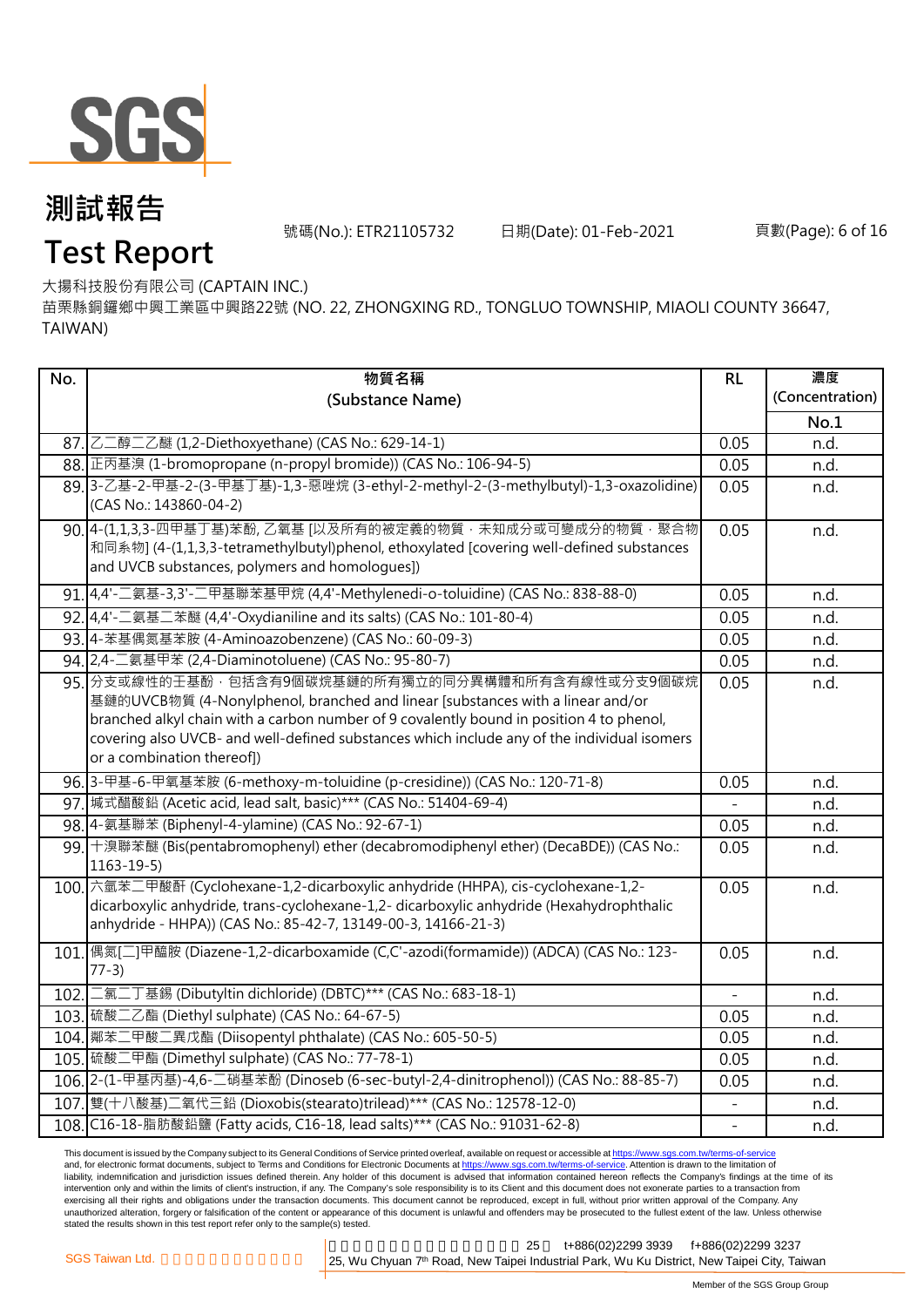

號碼(No.): ETR21105732 日期(Date): 01-Feb-2021 頁數(Page): 6 of 16

# **Test Report**

大揚科技股份有限公司 (CAPTAIN INC.)

苗栗縣銅鑼鄉中興工業區中興路22號 (NO. 22, ZHONGXING RD., TONGLUO TOWNSHIP, MIAOLI COUNTY 36647, TAIWAN)

| No.  | 物質名稱                                                                                                                                                                                                                                                                                                                                                           | RL                       | 濃度              |
|------|----------------------------------------------------------------------------------------------------------------------------------------------------------------------------------------------------------------------------------------------------------------------------------------------------------------------------------------------------------------|--------------------------|-----------------|
|      | (Substance Name)                                                                                                                                                                                                                                                                                                                                               |                          | (Concentration) |
|      |                                                                                                                                                                                                                                                                                                                                                                |                          | No.1            |
|      | 87. 乙二醇二乙醚 (1,2-Diethoxyethane) (CAS No.: 629-14-1)                                                                                                                                                                                                                                                                                                            | 0.05                     | n.d.            |
|      | 88. 正丙基溴 (1-bromopropane (n-propyl bromide)) (CAS No.: 106-94-5)                                                                                                                                                                                                                                                                                               | 0.05                     | n.d.            |
|      | 89.3-乙基-2-甲基-2-(3-甲基丁基)-1,3-惡唑烷 (3-ethyl-2-methyl-2-(3-methylbutyl)-1,3-oxazolidine)<br>(CAS No.: 143860-04-2)                                                                                                                                                                                                                                                 | 0.05                     | n.d.            |
|      | 90. 4-(1,1,3,3-四甲基丁基)苯酚, 乙氧基 [以及所有的被定義的物質 · 未知成分或可變成分的物質 · 聚合物<br>和同系物] (4-(1,1,3,3-tetramethylbutyl)phenol, ethoxylated [covering well-defined substances<br>and UVCB substances, polymers and homologues])                                                                                                                                                   | 0.05                     | n.d.            |
|      | 91. 4,4'-二氨基-3,3'-二甲基聯苯基甲烷 (4,4'-Methylenedi-o-toluidine) (CAS No.: 838-88-0)                                                                                                                                                                                                                                                                                  | 0.05                     | n.d.            |
|      | 92. 4,4'-二氨基二苯醚 (4,4'-Oxydianiline and its salts) (CAS No.: 101-80-4)                                                                                                                                                                                                                                                                                          | 0.05                     | n.d.            |
|      | 93.4-苯基偶氮基苯胺 (4-Aminoazobenzene) (CAS No.: 60-09-3)                                                                                                                                                                                                                                                                                                            | 0.05                     | n.d.            |
|      | 94. 2,4-二氨基甲苯 (2,4-Diaminotoluene) (CAS No.: 95-80-7)                                                                                                                                                                                                                                                                                                          | 0.05                     | n.d.            |
|      | 95. 分支或線性的王基酚 · 包括含有9個碳烷基鏈的所有獨立的同分異構體和所有含有線性或分支9個碳烷<br>基鏈的UVCB物質 (4-Nonylphenol, branched and linear [substances with a linear and/or<br>branched alkyl chain with a carbon number of 9 covalently bound in position 4 to phenol,<br>covering also UVCB- and well-defined substances which include any of the individual isomers<br>or a combination thereof]) | 0.05                     | n.d.            |
|      | 96. 3-甲基-6-甲氧基苯胺 (6-methoxy-m-toluidine (p-cresidine)) (CAS No.: 120-71-8)                                                                                                                                                                                                                                                                                     | 0.05                     | n.d.            |
|      | 97. 城式醋酸鉛 (Acetic acid, lead salt, basic)*** (CAS No.: 51404-69-4)                                                                                                                                                                                                                                                                                             |                          | n.d.            |
|      | 98.4-氨基聯苯 (Biphenyl-4-ylamine) (CAS No.: 92-67-1)                                                                                                                                                                                                                                                                                                              | 0.05                     | n.d.            |
|      | 99. 十溴聯苯醚 (Bis(pentabromophenyl) ether (decabromodiphenyl ether) (DecaBDE)) (CAS No.:<br>$1163 - 19 - 5$                                                                                                                                                                                                                                                       | 0.05                     | n.d.            |
|      | 100. 六氫苯二甲酸酐 (Cyclohexane-1,2-dicarboxylic anhydride (HHPA), cis-cyclohexane-1,2-<br>dicarboxylic anhydride, trans-cyclohexane-1,2- dicarboxylic anhydride (Hexahydrophthalic<br>anhydride - HHPA)) (CAS No.: 85-42-7, 13149-00-3, 14166-21-3)                                                                                                                 | 0.05                     | n.d.            |
|      | 101. 偶氮[二]甲醯胺 (Diazene-1,2-dicarboxamide (C,C'-azodi(formamide)) (ADCA) (CAS No.: 123-<br>$77-3)$                                                                                                                                                                                                                                                              | 0.05                     | n.d.            |
| 102. | 二氯二丁基錫 (Dibutyltin dichloride) (DBTC)*** (CAS No.: 683-18-1)                                                                                                                                                                                                                                                                                                   |                          | n.d.            |
|      | 103. 硫酸二乙酯 (Diethyl sulphate) (CAS No.: 64-67-5)                                                                                                                                                                                                                                                                                                               | 0.05                     | n.d.            |
|      | 104. 鄰苯二甲酸二異戊酯 (Diisopentyl phthalate) (CAS No.: 605-50-5)                                                                                                                                                                                                                                                                                                     | 0.05                     | n.d.            |
|      | 105. 硫酸二甲酯 (Dimethyl sulphate) (CAS No.: 77-78-1)                                                                                                                                                                                                                                                                                                              | 0.05                     | n.d.            |
|      | 106. 2-(1-甲基丙基)-4,6-二硝基苯酚 (Dinoseb (6-sec-butyl-2,4-dinitrophenol)) (CAS No.: 88-85-7)                                                                                                                                                                                                                                                                         | 0.05                     | n.d.            |
|      | 107. 雙(十八酸基) 二氧代三鉛 (Dioxobis(stearato)trilead)*** (CAS No.: 12578-12-0)                                                                                                                                                                                                                                                                                        | $\overline{\phantom{0}}$ | n.d.            |
|      | 108. C16-18-脂肪酸鉛鹽 (Fatty acids, C16-18, lead salts)*** (CAS No.: 91031-62-8)                                                                                                                                                                                                                                                                                   | $\frac{1}{2}$            | n.d.            |

This document is issued by the Company subject to its General Conditions of Service printed overleaf, available on request or accessible at <u>https://www.sgs.com.tw/terms-of-service</u><br>and, for electronic format documents, su liability, indemnification and jurisdiction issues defined therein. Any holder of this document is advised that information contained hereon reflects the Company's findings at the time of its intervention only and within the limits of client's instruction, if any. The Company's sole responsibility is to its Client and this document does not exonerate parties to a transaction from exercising all their rights and obligations under the transaction documents. This document cannot be reproduced, except in full, without prior written approval of the Company. Any<br>unauthorized alteration, forgery or falsif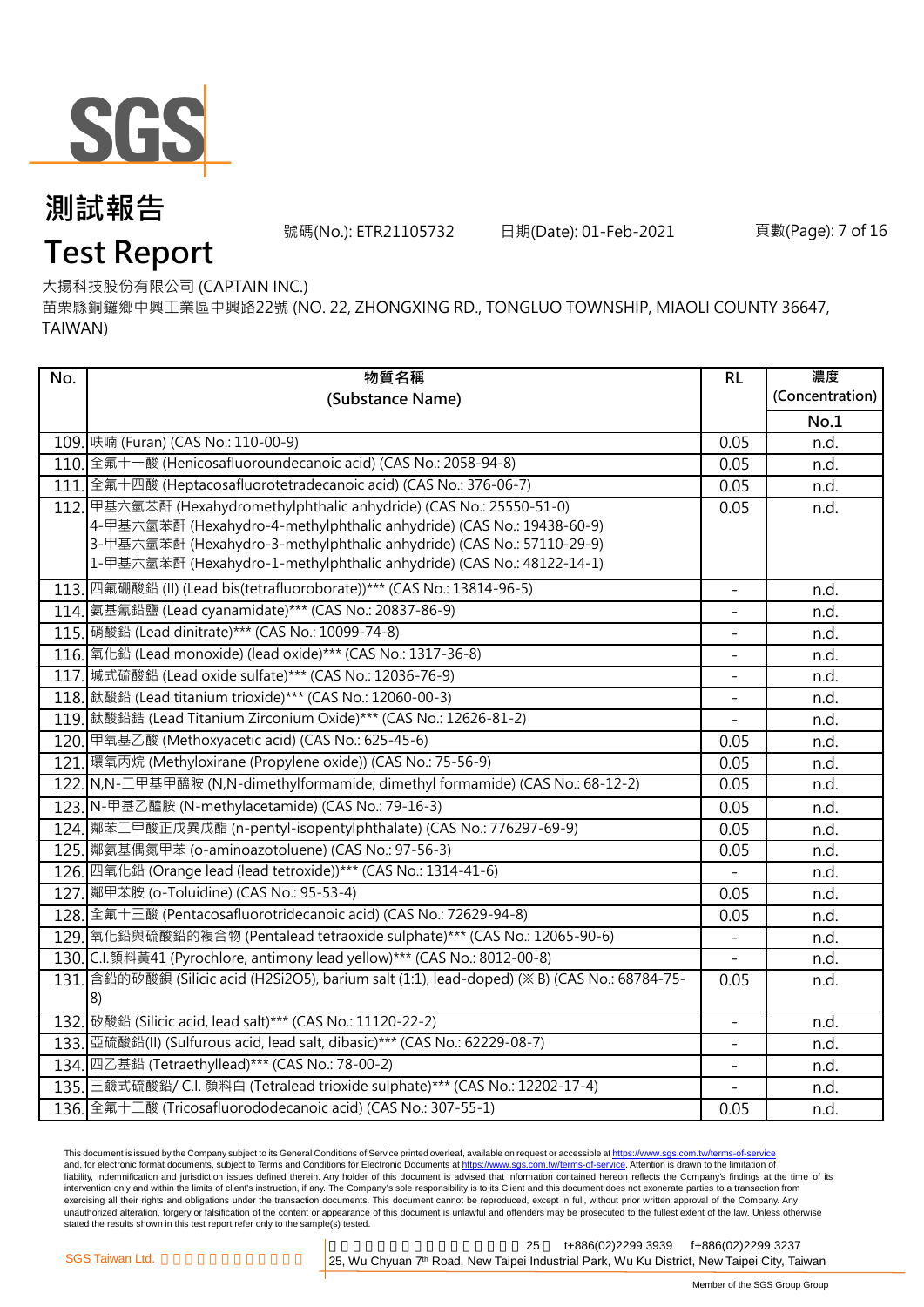

號碼(No.): ETR21105732 日期(Date): 01-Feb-2021 頁數(Page): 7 of 16

# **Test Report**

大揚科技股份有限公司 (CAPTAIN INC.)

苗栗縣銅鑼鄉中興工業區中興路22號 (NO. 22, ZHONGXING RD., TONGLUO TOWNSHIP, MIAOLI COUNTY 36647, TAIWAN)

| No. | 物質名稱                                                                                                                                           | RL                       | 濃度              |
|-----|------------------------------------------------------------------------------------------------------------------------------------------------|--------------------------|-----------------|
|     | (Substance Name)                                                                                                                               |                          | (Concentration) |
|     |                                                                                                                                                |                          | No.1            |
|     | 109. 味喃 (Furan) (CAS No.: 110-00-9)                                                                                                            | 0.05                     | n.d.            |
|     | 110. 全氟十一酸 (Henicosafluoroundecanoic acid) (CAS No.: 2058-94-8)                                                                                | 0.05                     | n.d.            |
|     | 111. 全氟十四酸 (Heptacosafluorotetradecanoic acid) (CAS No.: 376-06-7)                                                                             | 0.05                     | n.d.            |
|     | 112. 甲基六氫苯酐 (Hexahydromethylphthalic anhydride) (CAS No.: 25550-51-0)<br>4-甲基六氫苯酐 (Hexahydro-4-methylphthalic anhydride) (CAS No.: 19438-60-9) | 0.05                     | n.d.            |
|     | 3-甲基六氫苯酐 (Hexahydro-3-methylphthalic anhydride) (CAS No.: 57110-29-9)                                                                          |                          |                 |
|     | 1-甲基六氫苯酐 (Hexahydro-1-methylphthalic anhydride) (CAS No.: 48122-14-1)                                                                          |                          |                 |
|     | 113. 四氟硼酸鉛 (II) (Lead bis(tetrafluoroborate))*** (CAS No.: 13814-96-5)                                                                         | $\qquad \qquad -$        | n.d.            |
|     | 114.   氨基氰鉛鹽 (Lead cyanamidate)*** (CAS No.: 20837-86-9)                                                                                       |                          | n.d.            |
|     | 115. 硝酸鉛 (Lead dinitrate)*** (CAS No.: 10099-74-8)                                                                                             |                          | n.d.            |
|     | 116. 氧化鉛 (Lead monoxide) (lead oxide)*** (CAS No.: 1317-36-8)                                                                                  |                          | n.d.            |
|     | 117. 城式硫酸鉛 (Lead oxide sulfate)*** (CAS No.: 12036-76-9)                                                                                       |                          | n.d.            |
|     | 118. 鈦酸鉛 (Lead titanium trioxide)*** (CAS No.: 12060-00-3)                                                                                     | $\frac{1}{2}$            | n.d.            |
|     | 119. 鈦酸鉛鋯 (Lead Titanium Zirconium Oxide)*** (CAS No.: 12626-81-2)                                                                             |                          | n.d.            |
|     | 120. 甲氧基乙酸 (Methoxyacetic acid) (CAS No.: 625-45-6)                                                                                            | 0.05                     | n.d.            |
|     | 121. 環氧丙烷 (Methyloxirane (Propylene oxide)) (CAS No.: 75-56-9)                                                                                 | 0.05                     | n.d.            |
|     | 122. N, N-二甲基甲醯胺 (N, N-dimethylformamide; dimethyl formamide) (CAS No.: 68-12-2)                                                               | 0.05                     | n.d.            |
|     | 123. N-甲基乙醯胺 (N-methylacetamide) (CAS No.: 79-16-3)                                                                                            | 0.05                     | n.d.            |
|     | 124. 鄰苯二甲酸正戊異戊酯 (n-pentyl-isopentylphthalate) (CAS No.: 776297-69-9)                                                                           | 0.05                     | n.d.            |
|     | 125. 鄰氨基偶氮甲苯 (o-aminoazotoluene) (CAS No.: 97-56-3)                                                                                            | 0.05                     | n.d.            |
|     | 126. 四氧化鉛 (Orange lead (lead tetroxide))*** (CAS No.: 1314-41-6)                                                                               |                          | n.d.            |
|     | 127. 鄰甲苯胺 (o-Toluidine) (CAS No.: 95-53-4)                                                                                                     | 0.05                     | n.d.            |
|     | 128. 全氟十三酸 (Pentacosafluorotridecanoic acid) (CAS No.: 72629-94-8)                                                                             | 0.05                     | n.d.            |
|     | 129. 氧化鉛與硫酸鉛的複合物 (Pentalead tetraoxide sulphate)*** (CAS No.: 12065-90-6)                                                                      |                          | n.d.            |
|     | 130. C.I.顏料黃41 (Pyrochlore, antimony lead yellow)*** (CAS No.: 8012-00-8)                                                                      |                          | n.d.            |
|     | 131. 含鉛的矽酸鋇 (Silicic acid (H2Si2O5), barium salt (1:1), lead-doped) (※ B) (CAS No.: 68784-75-                                                  | 0.05                     | n.d.            |
|     |                                                                                                                                                |                          |                 |
|     | 132. 砂酸鉛 (Silicic acid, lead salt)*** (CAS No.: 11120-22-2)                                                                                    | $\overline{\phantom{a}}$ | n.d.            |
|     | 133. 亞硫酸鉛(II) (Sulfurous acid, lead salt, dibasic)*** (CAS No.: 62229-08-7)                                                                    | $\overline{\phantom{0}}$ | n.d.            |
|     | 134. 四乙基鉛 (Tetraethyllead)*** (CAS No.: 78-00-2)                                                                                               |                          | n.d.            |
|     | 135. 三鹼式硫酸鉛/ C.I. 顏料白 (Tetralead trioxide sulphate)*** (CAS No.: 12202-17-4)                                                                   |                          | n.d.            |
|     | 136. 全氟十二酸 (Tricosafluorododecanoic acid) (CAS No.: 307-55-1)                                                                                  | 0.05                     | n.d.            |

This document is issued by the Company subject to its General Conditions of Service printed overleaf, available on request or accessible at <u>https://www.sgs.com.tw/terms-of-service</u><br>and, for electronic format documents, su liability, indemnification and jurisdiction issues defined therein. Any holder of this document is advised that information contained hereon reflects the Company's findings at the time of its intervention only and within the limits of client's instruction, if any. The Company's sole responsibility is to its Client and this document does not exonerate parties to a transaction from exercising all their rights and obligations under the transaction documents. This document cannot be reproduced, except in full, without prior written approval of the Company. Any<br>unauthorized alteration, forgery or falsif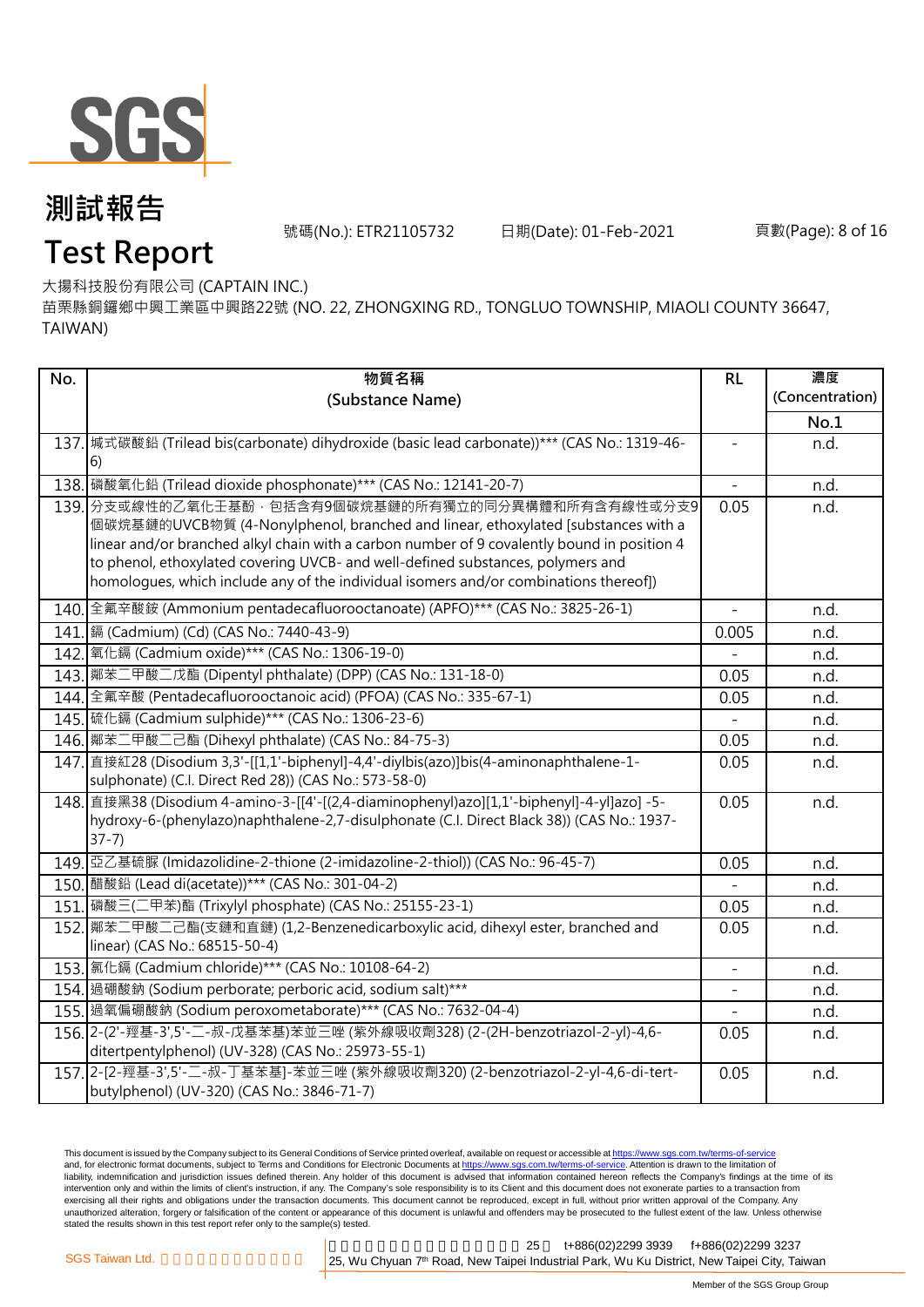

號碼(No.): ETR21105732 日期(Date): 01-Feb-2021 頁數(Page): 8 of 16

# **Test Report**

大揚科技股份有限公司 (CAPTAIN INC.)

苗栗縣銅鑼鄉中興工業區中興路22號 (NO. 22, ZHONGXING RD., TONGLUO TOWNSHIP, MIAOLI COUNTY 36647, TAIWAN)

| No. | 物質名稱                                                                                                                                                                                   | RL                       | 濃度              |
|-----|----------------------------------------------------------------------------------------------------------------------------------------------------------------------------------------|--------------------------|-----------------|
|     | (Substance Name)                                                                                                                                                                       |                          | (Concentration) |
|     |                                                                                                                                                                                        |                          | No.1            |
|     | 137. 城式碳酸鉛 (Trilead bis(carbonate) dihydroxide (basic lead carbonate))*** (CAS No.: 1319-46-                                                                                           |                          | n.d.            |
|     | 6)                                                                                                                                                                                     |                          |                 |
|     | 138. 磷酸氧化鉛 (Trilead dioxide phosphonate)*** (CAS No.: 12141-20-7)                                                                                                                      | $\overline{\phantom{a}}$ | n.d.            |
|     | 139. 分支或線性的乙氧化壬基酚 · 包括含有9個碳烷基鏈的所有獨立的同分異構體和所有含有線性或分支9                                                                                                                                   | 0.05                     | n.d.            |
|     | 個碳烷基鏈的UVCB物質 (4-Nonylphenol, branched and linear, ethoxylated [substances with a<br>linear and/or branched alkyl chain with a carbon number of 9 covalently bound in position 4        |                          |                 |
|     | to phenol, ethoxylated covering UVCB- and well-defined substances, polymers and                                                                                                        |                          |                 |
|     | homologues, which include any of the individual isomers and/or combinations thereof])                                                                                                  |                          |                 |
|     |                                                                                                                                                                                        |                          |                 |
|     | 140. 全氟辛酸銨 (Ammonium pentadecafluorooctanoate) (APFO)*** (CAS No.: 3825-26-1)                                                                                                          |                          | n.d.            |
|     | 141. [鎘 (Cadmium) (Cd) (CAS No.: 7440-43-9)                                                                                                                                            | 0.005                    | n.d.            |
|     | 142. 氧化鎘 (Cadmium oxide)*** (CAS No.: 1306-19-0)                                                                                                                                       |                          | n.d.            |
|     | 143. 鄰苯二甲酸二戊酯 (Dipentyl phthalate) (DPP) (CAS No.: 131-18-0)                                                                                                                           | 0.05                     | n.d.            |
|     | 144. 全氟辛酸 (Pentadecafluorooctanoic acid) (PFOA) (CAS No.: 335-67-1)                                                                                                                    | 0.05                     | n.d.            |
|     | 145. 硫化鎘 (Cadmium sulphide)*** (CAS No.: 1306-23-6)                                                                                                                                    |                          | n.d.            |
|     | 146. 鄰苯二甲酸二己酯 (Dihexyl phthalate) (CAS No.: 84-75-3)                                                                                                                                   | 0.05                     | n.d.            |
|     | 147. 直接紅28 (Disodium 3,3'-[[1,1'-biphenyl]-4,4'-diylbis(azo)]bis(4-aminonaphthalene-1-                                                                                                 | 0.05                     | n.d.            |
|     | sulphonate) (C.I. Direct Red 28)) (CAS No.: 573-58-0)                                                                                                                                  |                          |                 |
|     | 148. 直接黑38 (Disodium 4-amino-3-[[4'-[(2,4-diaminophenyl)azo][1,1'-biphenyl]-4-yl]azo] -5-<br>hydroxy-6-(phenylazo)naphthalene-2,7-disulphonate (C.I. Direct Black 38)) (CAS No.: 1937- | 0.05                     | n.d.            |
|     | $37-7)$                                                                                                                                                                                |                          |                 |
|     | 149. 亞乙基硫脲 (Imidazolidine-2-thione (2-imidazoline-2-thiol)) (CAS No.: 96-45-7)                                                                                                         | 0.05                     | n.d.            |
|     | 150. 醋酸鉛 (Lead di(acetate)) *** (CAS No.: 301-04-2)                                                                                                                                    |                          | n.d.            |
|     | 151. 磷酸三(二甲苯)酯 (Trixylyl phosphate) (CAS No.: 25155-23-1)                                                                                                                              | 0.05                     | n.d.            |
|     | 152. 鄰苯二甲酸二己酯(支鏈和直鏈) (1,2-Benzenedicarboxylic acid, dihexyl ester, branched and                                                                                                        | 0.05                     | n.d.            |
|     | linear) (CAS No.: 68515-50-4)                                                                                                                                                          |                          |                 |
|     | 153. 氯化鎘 (Cadmium chloride)*** (CAS No.: 10108-64-2)                                                                                                                                   |                          | n.d.            |
|     | 154. 過硼酸鈉 (Sodium perborate; perboric acid, sodium salt)***                                                                                                                            |                          | n.d.            |
|     | 155. 過氧偏硼酸鈉 (Sodium peroxometaborate)*** (CAS No.: 7632-04-4)                                                                                                                          |                          | n.d.            |
|     | 156. 2-(2'-羥基-3',5'-二-叔-戊基苯基)苯並三唑 (紫外線吸收劑328) (2-(2H-benzotriazol-2-yl)-4,6-                                                                                                           | 0.05                     | n.d.            |
|     | ditertpentylphenol) (UV-328) (CAS No.: 25973-55-1)                                                                                                                                     |                          |                 |
|     | 157. 2-[2-羥基-3',5'-二-叔-丁基苯基]-苯並三唑 (紫外線吸收劑320) (2-benzotriazol-2-yl-4,6-di-tert-                                                                                                        | 0.05                     | n.d.            |
|     | butylphenol) (UV-320) (CAS No.: 3846-71-7)                                                                                                                                             |                          |                 |

This document is issued by the Company subject to its General Conditions of Service printed overleaf, available on request or accessible at <u>https://www.sgs.com.tw/terms-of-service</u><br>and, for electronic format documents, su liability, indemnification and jurisdiction issues defined therein. Any holder of this document is advised that information contained hereon reflects the Company's findings at the time of its intervention only and within the limits of client's instruction, if any. The Company's sole responsibility is to its Client and this document does not exonerate parties to a transaction from exercising all their rights and obligations under the transaction documents. This document cannot be reproduced, except in full, without prior written approval of the Company. Any<br>unauthorized alteration, forgery or falsif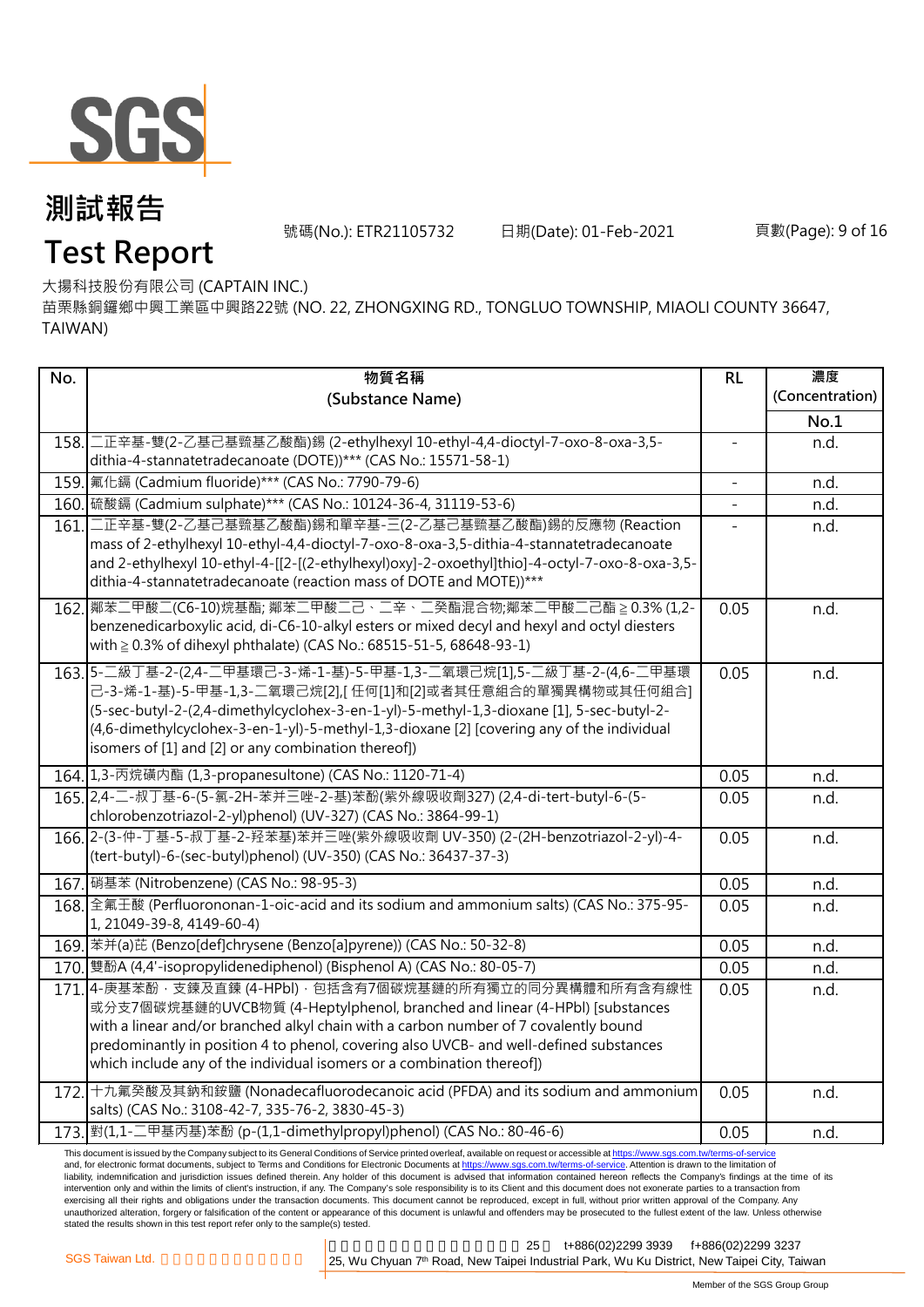

號碼(No.): ETR21105732 日期(Date): 01-Feb-2021 頁數(Page): 9 of 16

# **Test Report**

大揚科技股份有限公司 (CAPTAIN INC.)

苗栗縣銅鑼鄉中興工業區中興路22號 (NO. 22, ZHONGXING RD., TONGLUO TOWNSHIP, MIAOLI COUNTY 36647, TAIWAN)

| No.  | 物質名稱                                                                                                                                                                                     | RL             | 濃度              |
|------|------------------------------------------------------------------------------------------------------------------------------------------------------------------------------------------|----------------|-----------------|
|      | (Substance Name)                                                                                                                                                                         |                | (Concentration) |
|      |                                                                                                                                                                                          |                | No.1            |
|      | 158. 二正辛基-雙(2-乙基己基巰基乙酸酯)錫 (2-ethylhexyl 10-ethyl-4,4-dioctyl-7-oxo-8-oxa-3,5-                                                                                                            | $\blacksquare$ | n.d.            |
|      | dithia-4-stannatetradecanoate (DOTE))*** (CAS No.: 15571-58-1)                                                                                                                           |                |                 |
|      | 159. 氟化鎘 (Cadmium fluoride)*** (CAS No.: 7790-79-6)                                                                                                                                      | $\blacksquare$ | n.d.            |
|      | 160. 硫酸鎘 (Cadmium sulphate)*** (CAS No.: 10124-36-4, 31119-53-6)                                                                                                                         |                | n.d.            |
| 161. | 二正辛基-雙(2-乙基己基巰基乙酸酯)錫和單辛基-三(2-乙基己基巰基乙酸酯)錫的反應物 (Reaction                                                                                                                                   |                | n.d.            |
|      | mass of 2-ethylhexyl 10-ethyl-4,4-dioctyl-7-oxo-8-oxa-3,5-dithia-4-stannatetradecanoate<br>and 2-ethylhexyl 10-ethyl-4-[[2-[(2-ethylhexyl)oxy]-2-oxoethyl]thio]-4-octyl-7-oxo-8-oxa-3,5- |                |                 |
|      | dithia-4-stannatetradecanoate (reaction mass of DOTE and MOTE))***                                                                                                                       |                |                 |
|      | 162. 鄰苯二甲酸二(C6-10)烷基酯; 鄰苯二甲酸二己、二辛、二癸酯混合物;鄰苯二甲酸二己酯 ≥ 0.3% (1,2-                                                                                                                           | 0.05           | n.d.            |
|      | benzenedicarboxylic acid, di-C6-10-alkyl esters or mixed decyl and hexyl and octyl diesters<br>with ≥ 0.3% of dihexyl phthalate) (CAS No.: 68515-51-5, 68648-93-1)                       |                |                 |
|      |                                                                                                                                                                                          |                |                 |
|      | 163.5-二級丁基-2-(2,4-二甲基環己-3-烯-1-基)-5-甲基-1,3-二氧環己烷[1],5-二級丁基-2-(4,6-二甲基環<br>己-3-烯-1-基)-5-甲基-1,3-ニ氧環己烷[2],[ 任何[1]和[2]或者其任意組合的單獨異構物或其任何組合]                                                    | 0.05           | n.d.            |
|      | (5-sec-butyl-2-(2,4-dimethylcyclohex-3-en-1-yl)-5-methyl-1,3-dioxane [1], 5-sec-butyl-2-                                                                                                 |                |                 |
|      | (4,6-dimethylcyclohex-3-en-1-yl)-5-methyl-1,3-dioxane [2] [covering any of the individual                                                                                                |                |                 |
|      | isomers of [1] and [2] or any combination thereof])                                                                                                                                      |                |                 |
|      | 164. 1,3-丙烷磺内酯 (1,3-propanesultone) (CAS No.: 1120-71-4)                                                                                                                                 | 0.05           | n.d.            |
|      | 165. 2,4-二-叔丁基-6-(5-氯-2H-苯并三唑-2-基)苯酚(紫外線吸收劑327) (2,4-di-tert-butyl-6-(5-                                                                                                                 | 0.05           | n.d.            |
|      | chlorobenzotriazol-2-yl)phenol) (UV-327) (CAS No.: 3864-99-1)                                                                                                                            |                |                 |
|      | 166. 2-(3-仲-丁基-5-叔丁基-2-羟苯基)苯并三唑(紫外線吸收劑 UV-350) (2-(2H-benzotriazol-2-yl)-4-                                                                                                              | 0.05           | n.d.            |
|      | (tert-butyl)-6-(sec-butyl)phenol) (UV-350) (CAS No.: 36437-37-3)                                                                                                                         |                |                 |
|      |                                                                                                                                                                                          | 0.05           | n.d.            |
|      | 168. 全氟壬酸 (Perfluorononan-1-oic-acid and its sodium and ammonium salts) (CAS No.: 375-95-<br>1, 21049-39-8, 4149-60-4)                                                                   | 0.05           | n.d.            |
|      | 169. 苯并(a)芘 (Benzo[def]chrysene (Benzo[a]pyrene)) (CAS No.: 50-32-8)                                                                                                                     | 0.05           | n.d.            |
|      | 170. 雙酚A (4,4'-isopropylidenediphenol) (Bisphenol A) (CAS No.: 80-05-7)                                                                                                                  | 0.05           | n.d.            |
|      | 171.4-庚基苯酚·支鍊及直鍊 (4-HPbI) · 包括含有7個碳烷基鏈的所有獨立的同分異構體和所有含有線性                                                                                                                                 | 0.05           | n.d.            |
|      | 或分支7個碳烷基鏈的UVCB物質 (4-Heptylphenol, branched and linear (4-HPbl) [substances                                                                                                               |                |                 |
|      | with a linear and/or branched alkyl chain with a carbon number of 7 covalently bound                                                                                                     |                |                 |
|      | predominantly in position 4 to phenol, covering also UVCB- and well-defined substances<br>which include any of the individual isomers or a combination thereof])                         |                |                 |
|      |                                                                                                                                                                                          |                |                 |
|      | 172. 十九氟癸酸及其鈉和銨鹽 (Nonadecafluorodecanoic acid (PFDA) and its sodium and ammonium<br>salts) (CAS No.: 3108-42-7, 335-76-2, 3830-45-3)                                                     | 0.05           | n.d.            |
|      | 173. 對(1,1-二甲基丙基)苯酚 (p-(1,1-dimethylpropyl)phenol) (CAS No.: 80-46-6)                                                                                                                    | 0.05           | n.d.            |
|      |                                                                                                                                                                                          |                |                 |

This document is issued by the Company subject to its General Conditions of Service printed overleaf, available on request or accessible at <u>https://www.sgs.com.tw/terms-of-service</u><br>and, for electronic format documents, su liability, indemnification and jurisdiction issues defined therein. Any holder of this document is advised that information contained hereon reflects the Company's findings at the time of its intervention only and within the limits of client's instruction, if any. The Company's sole responsibility is to its Client and this document does not exonerate parties to a transaction from exercising all their rights and obligations under the transaction documents. This document cannot be reproduced, except in full, without prior written approval of the Company. Any<br>unauthorized alteration, forgery or falsif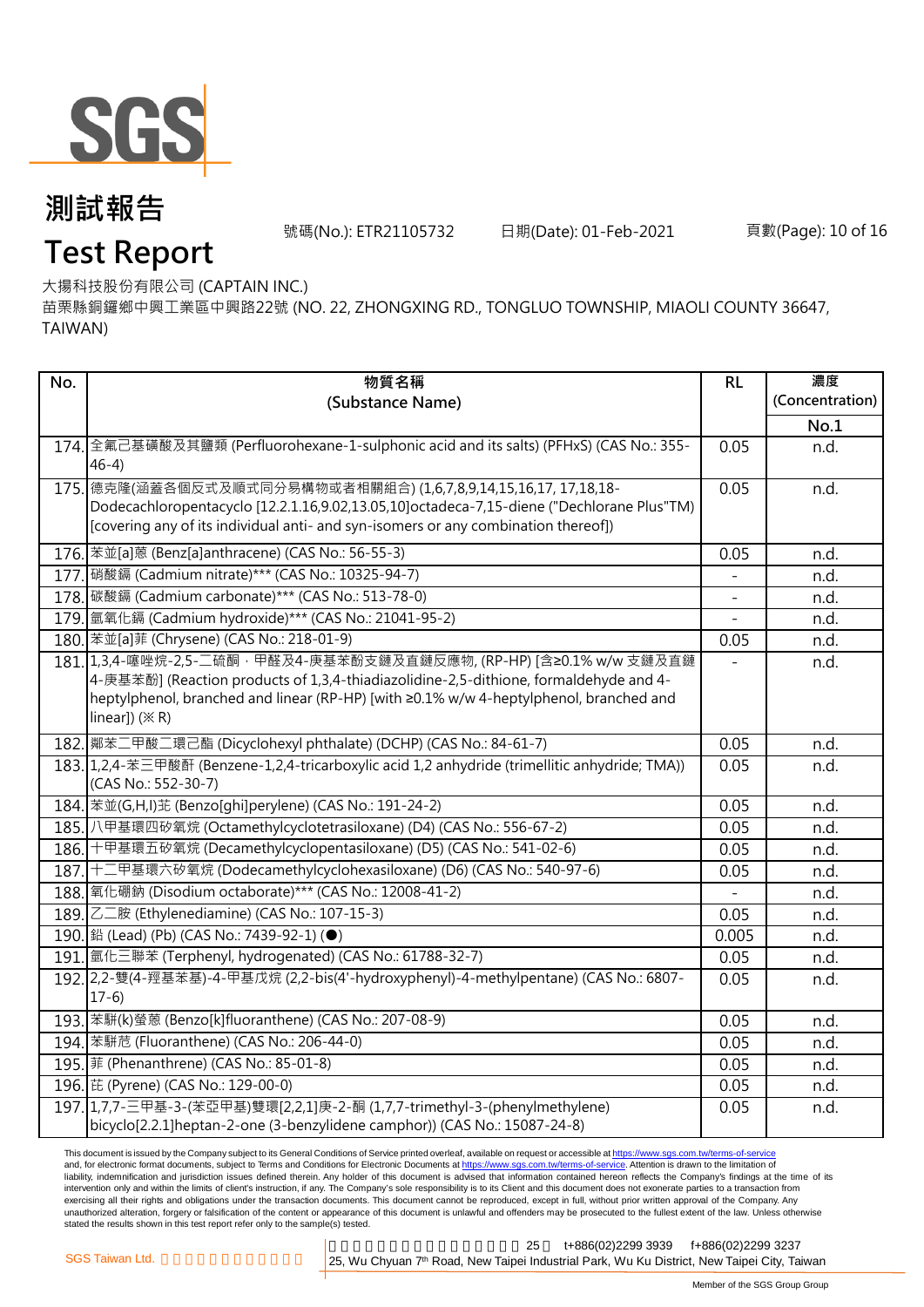

號碼(No.): ETR21105732 日期(Date): 01-Feb-2021 頁數(Page): 10 of 16

# **Test Report**

大揚科技股份有限公司 (CAPTAIN INC.)

苗栗縣銅鑼鄉中興工業區中興路22號 (NO. 22, ZHONGXING RD., TONGLUO TOWNSHIP, MIAOLI COUNTY 36647, TAIWAN)

| No.  | 物質名稱                                                                                                                  | RL    | 濃度              |
|------|-----------------------------------------------------------------------------------------------------------------------|-------|-----------------|
|      | (Substance Name)                                                                                                      |       | (Concentration) |
|      |                                                                                                                       |       | No.1            |
|      | 174. 全氟己基磺酸及其鹽類 (Perfluorohexane-1-sulphonic acid and its salts) (PFHxS) (CAS No.: 355-                               | 0.05  | n.d.            |
|      | $46-4)$                                                                                                               |       |                 |
| 175. | 德克隆(涵蓋各個反式及順式同分易構物或者相關組合)(1,6,7,8,9,14,15,16,17,17,18,18-                                                             | 0.05  | n.d.            |
|      | Dodecachloropentacyclo [12.2.1.16,9.02,13.05,10]octadeca-7,15-diene ("Dechlorane Plus"TM)                             |       |                 |
|      | [covering any of its individual anti- and syn-isomers or any combination thereof])                                    |       |                 |
|      | 176. 苯並[a]蒽 (Benz[a]anthracene) (CAS No.: 56-55-3)                                                                    | 0.05  | n.d.            |
|      | 177. 硝酸鎘 (Cadmium nitrate)*** (CAS No.: 10325-94-7)                                                                   |       | n.d.            |
|      | 178. 碳酸鎘 (Cadmium carbonate)*** (CAS No.: 513-78-0)                                                                   |       | n.d.            |
|      | 179. 氫氧化鎘 (Cadmium hydroxide)*** (CAS No.: 21041-95-2)                                                                |       | n.d.            |
|      | 180. 苯並[a]菲 (Chrysene) (CAS No.: 218-01-9)                                                                            | 0.05  | n.d.            |
|      | 181. 1,3,4-噻唑烷-2,5-二硫酮·甲醛及4-庚基苯酚支鏈及直鏈反應物, (RP-HP) [含≥0.1% w/w 支鏈及直鏈                                                   |       | n.d.            |
|      | 4-庚基苯酚] (Reaction products of 1,3,4-thiadiazolidine-2,5-dithione, formaldehyde and 4-                                 |       |                 |
|      | heptylphenol, branched and linear (RP-HP) [with ≥0.1% w/w 4-heptylphenol, branched and                                |       |                 |
|      | linear]) $(X \rR)$                                                                                                    |       |                 |
|      | 182. 鄰苯二甲酸二環己酯 (Dicyclohexyl phthalate) (DCHP) (CAS No.: 84-61-7)                                                     | 0.05  | n.d.            |
|      | 183. 1,2,4-苯三甲酸酐 (Benzene-1,2,4-tricarboxylic acid 1,2 anhydride (trimellitic anhydride; TMA))<br>(CAS No.: 552-30-7) | 0.05  | n.d.            |
|      |                                                                                                                       | 0.05  | n.d.            |
|      | 185. 八甲基環四矽氧烷 (Octamethylcyclotetrasiloxane) (D4) (CAS No.: 556-67-2)                                                 | 0.05  | n.d.            |
|      | 186. 十甲基環五矽氧烷 (Decamethylcyclopentasiloxane) (D5) (CAS No.: 541-02-6)                                                 | 0.05  | n.d.            |
|      | 187. 十二甲基環六矽氧烷 (Dodecamethylcyclohexasiloxane) (D6) (CAS No.: 540-97-6)                                               | 0.05  | n.d.            |
|      | 188. 氧化硼鈉 (Disodium octaborate)*** (CAS No.: 12008-41-2)                                                              |       | n.d.            |
|      | 189. Z二胺 (Ethylenediamine) (CAS No.: 107-15-3)                                                                        | 0.05  | n.d.            |
|      | 190. I 鉛 (Lead) (Pb) (CAS No.: 7439-92-1) (●)                                                                         | 0.005 | n.d.            |
|      | 191. <i><b>氫化三聯苯 (Terphenyl, hydrogenated) (CAS No.: 61788-32-7)</b></i>                                              | 0.05  | n.d.            |
|      | 192. 2,2-雙(4-羥基苯基)-4-甲基戊烷 (2,2-bis(4'-hydroxyphenyl)-4-methylpentane) (CAS No.: 6807-                                 | 0.05  | n.d.            |
|      | $17-6$                                                                                                                |       |                 |
|      | 193. 苯駢(k)螢蒽 (Benzo[k]fluoranthene) (CAS No.: 207-08-9)                                                               | 0.05  | n.d.            |
|      | 194. 苯駢苊 (Fluoranthene) (CAS No.: 206-44-0)                                                                           | 0.05  | n.d.            |
|      | 195. 菲 (Phenanthrene) (CAS No.: 85-01-8)                                                                              | 0.05  | n.d.            |
|      | 196. 芘 (Pyrene) (CAS No.: 129-00-0)                                                                                   | 0.05  | n.d.            |
|      | 197. 1,7,7-三甲基-3-(苯亞甲基)雙環[2,2,1]庚-2-酮 (1,7,7-trimethyl-3-(phenylmethylene)                                            | 0.05  | n.d.            |
|      | bicyclo[2.2.1]heptan-2-one (3-benzylidene camphor)) (CAS No.: 15087-24-8)                                             |       |                 |

This document is issued by the Company subject to its General Conditions of Service printed overleaf, available on request or accessible at <u>https://www.sgs.com.tw/terms-of-service</u><br>and, for electronic format documents, su liability, indemnification and jurisdiction issues defined therein. Any holder of this document is advised that information contained hereon reflects the Company's findings at the time of its intervention only and within the limits of client's instruction, if any. The Company's sole responsibility is to its Client and this document does not exonerate parties to a transaction from exercising all their rights and obligations under the transaction documents. This document cannot be reproduced, except in full, without prior written approval of the Company. Any<br>unauthorized alteration, forgery or falsif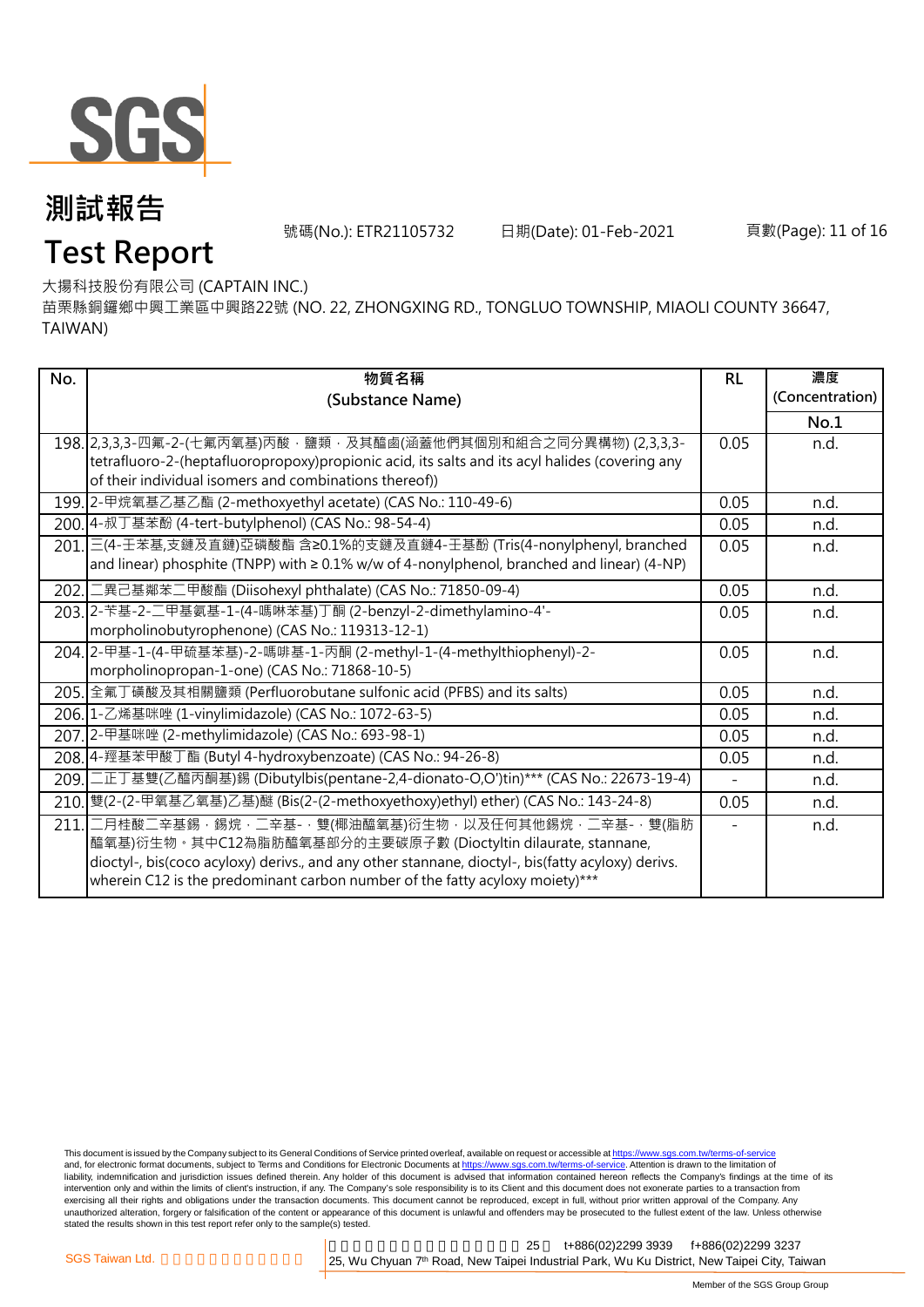

號碼(No.): ETR21105732 日期(Date): 01-Feb-2021 頁數(Page): 11 of 16

## **Test Report**

大揚科技股份有限公司 (CAPTAIN INC.)

苗栗縣銅鑼鄉中興工業區中興路22號 (NO. 22, ZHONGXING RD., TONGLUO TOWNSHIP, MIAOLI COUNTY 36647, TAIWAN)

| No.  | 物質名稱                                                                                                                                                                              | <b>RL</b>                | 濃度              |
|------|-----------------------------------------------------------------------------------------------------------------------------------------------------------------------------------|--------------------------|-----------------|
|      | (Substance Name)                                                                                                                                                                  |                          | (Concentration) |
|      |                                                                                                                                                                                   |                          | No.1            |
|      | 198. 2,3,3,3-四氟-2-(七氟丙氧基)丙酸·鹽類·及其醯鹵(涵蓋他們其個別和組合之同分異構物) (2,3,3,3-                                                                                                                   | 0.05                     | n.d.            |
|      | tetrafluoro-2-(heptafluoropropoxy)propionic acid, its salts and its acyl halides (covering any<br>of their individual isomers and combinations thereof))                          |                          |                 |
|      | 199. 2-甲烷氧基乙基乙酯 (2-methoxyethyl acetate) (CAS No.: 110-49-6)                                                                                                                      | 0.05                     | n.d.            |
|      | 200.4-叔丁基苯酚 (4-tert-butylphenol) (CAS No.: 98-54-4)                                                                                                                               | 0.05                     | n.d.            |
|      | 201. 三(4-壬苯基,支鏈及直鏈)亞磷酸酯 含≥0.1%的支鏈及直鏈4-壬基酚 (Tris(4-nonylphenyl, branched<br>and linear) phosphite (TNPP) with $\geq 0.1\%$ w/w of 4-nonylphenol, branched and linear) (4-NP)       | 0.05                     | n.d.            |
| 202. | 二異己基鄰苯二甲酸酯 (Diisohexyl phthalate) (CAS No.: 71850-09-4)                                                                                                                           | 0.05                     |                 |
|      |                                                                                                                                                                                   |                          | n.d.            |
|      | 203. 2- 苄基-2-二甲基氨基-1-(4-嗎啉苯基)丁酮 (2-benzyl-2-dimethylamino-4'-<br>morpholinobutyrophenone) (CAS No.: 119313-12-1)                                                                  | 0.05                     | n.d.            |
|      | 204. 2-甲基-1-(4-甲硫基苯基)-2-嗎啡基-1-丙酮 (2-methyl-1-(4-methylthiophenyl)-2-                                                                                                              | 0.05                     | n.d.            |
|      | morpholinopropan-1-one) (CAS No.: 71868-10-5)                                                                                                                                     |                          |                 |
|      | 205. 全氟丁磺酸及其相關鹽類 (Perfluorobutane sulfonic acid (PFBS) and its salts)                                                                                                             | 0.05                     | n.d.            |
|      | 206. 1-乙烯基咪唑 (1-vinylimidazole) (CAS No.: 1072-63-5)                                                                                                                              | 0.05                     | n.d.            |
| 207. | 2-甲基咪唑 (2-methylimidazole) (CAS No.: 693-98-1)                                                                                                                                    | 0.05                     | n.d.            |
|      | 208.4-羥基苯甲酸丁酯 (Butyl 4-hydroxybenzoate) (CAS No.: 94-26-8)                                                                                                                        | 0.05                     | n.d.            |
| 209. | 二正丁基雙(乙醯丙酮基)錫 (Dibutylbis(pentane-2,4-dionato-O,O')tin)*** (CAS No.: 22673-19-4)                                                                                                  | $\overline{\phantom{0}}$ | n.d.            |
| 210. | 雙(2-(2-甲氧基乙氧基)乙基)醚 (Bis(2-(2-methoxyethoxy)ethyl) ether) (CAS No.: 143-24-8)                                                                                                      | 0.05                     | n.d.            |
| 211. | 二月桂酸二辛基錫・錫烷・二辛基-・雙(椰油醯氧基)衍生物・以及任何其他錫烷・二辛基-・雙(脂肪                                                                                                                                   |                          | n.d.            |
|      | 醯氧基)衍生物。其中C12為脂肪醯氧基部分的主要碳原子數 (Dioctyltin dilaurate, stannane,                                                                                                                     |                          |                 |
|      | dioctyl-, bis(coco acyloxy) derivs., and any other stannane, dioctyl-, bis(fatty acyloxy) derivs.<br>wherein C12 is the predominant carbon number of the fatty acyloxy moiety)*** |                          |                 |
|      |                                                                                                                                                                                   |                          |                 |

This document is issued by the Company subject to its General Conditions of Service printed overleaf, available on request or accessible at <u>https://www.sgs.com.tw/terms-of-service</u><br>and, for electronic format documents, su liability, indemnification and jurisdiction issues defined therein. Any holder of this document is advised that information contained hereon reflects the Company's findings at the time of its intervention only and within the limits of client's instruction, if any. The Company's sole responsibility is to its Client and this document does not exonerate parties to a transaction from exercising all their rights and obligations under the transaction documents. This document cannot be reproduced, except in full, without prior written approval of the Company. Any<br>unauthorized alteration, forgery or falsif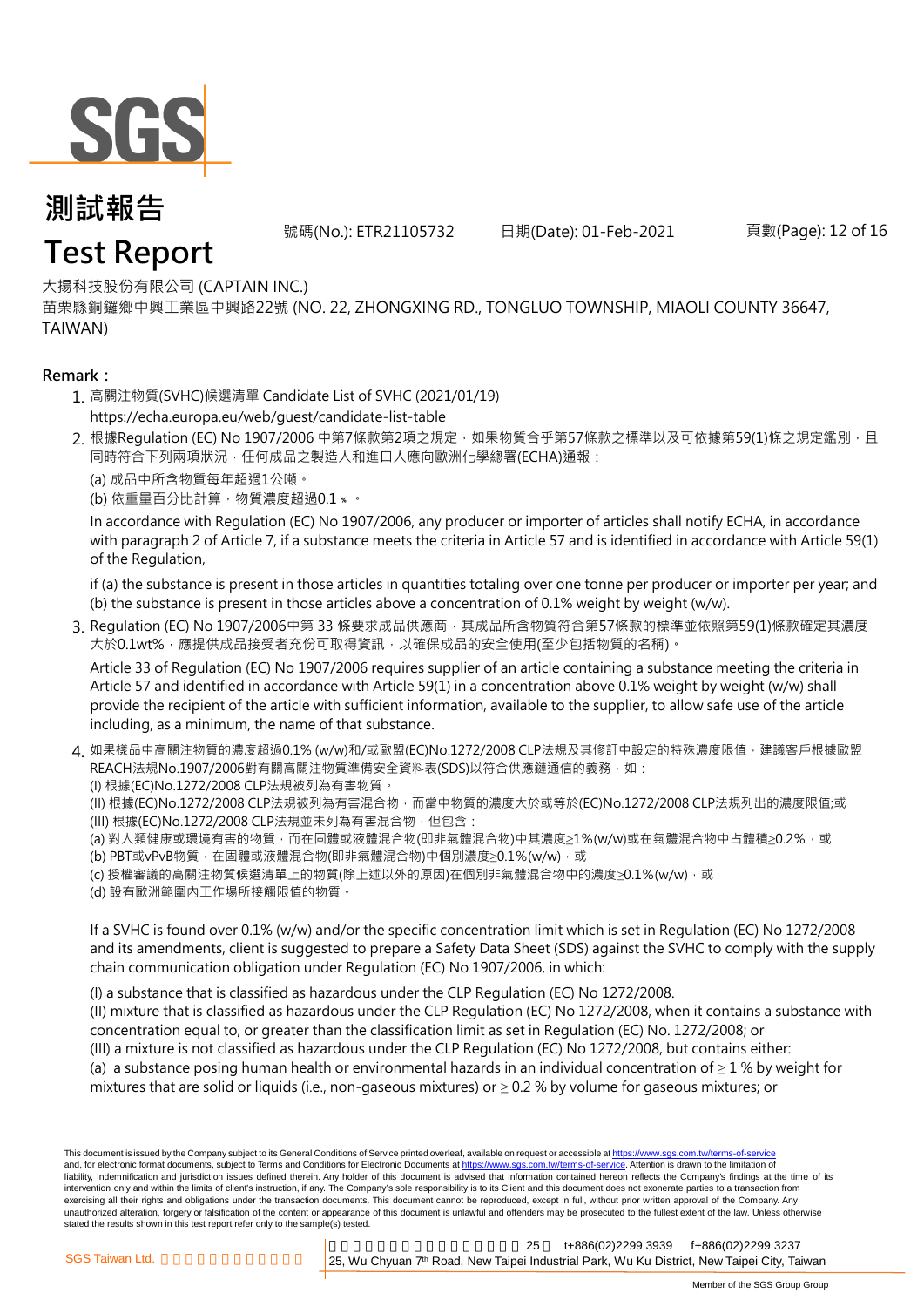

號碼(No.): ETR21105732 日期(Date): 01-Feb-2021 頁數(Page): 12 of 16

### **Test Report**

大揚科技股份有限公司 (CAPTAIN INC.)

苗栗縣銅鑼鄉中興工業區中興路22號 (NO. 22, ZHONGXING RD., TONGLUO TOWNSHIP, MIAOLI COUNTY 36647, TAIWAN)

#### **Remark:**

- 1. 高關注物質(SVHC)候選清單 Candidate List of SVHC (2021/01/19) [https://](https://echa.europa.eu/web/guest/candidate-list-table)echa.europa.eu/web/guest/candidate-list-table
- 2. 根據Regulation (EC) No 1907/2006 中第7條款第2項之規定 · 如果物質合乎第57條款之標準以及可依據第59(1)條之規定鑑別 · 且 同時符合下列兩項狀況,任何成品之製造人和進口人應向歐洲化學總署(ECHA)通報:

(a) 成品中所含物質每年超過1公噸。

(b) 依重量百分比計算, 物質濃度超過0.1 %。

In accordance with Regulation (EC) No 1907/2006, any producer or importer of articles shall notify ECHA, in accordance with paragraph 2 of Article 7, if a substance meets the criteria in Article 57 and is identified in accordance with Article 59(1) of the Regulation,

if (a) the substance is present in those articles in quantities totaling over one tonne per producer or importer per year; and (b) the substance is present in those articles above a concentration of 0.1% weight by weight (w/w).

3. Regulation (EC) No 1907/2006中第 33 條要求成品供應商 · 其成品所含物質符合第57條款的標準並依照第59(1)條款確定其濃度 大於0.1wt%,應提供成品接受者充份可取得資訊,以確保成品的安全使用(至少包括物質的名稱)。

Article 33 of Regulation (EC) No 1907/2006 requires supplier of an article containing a substance meeting the criteria in Article 57 and identified in accordance with Article 59(1) in a concentration above 0.1% weight by weight (w/w) shall provide the recipient of the article with sufficient information, available to the supplier, to allow safe use of the article including, as a minimum, the name of that substance.

4. 如果樣品中高關注物質的濃度超過0.1% (w/w)和/或歐盟(EC)No.1272/2008 CLP法規及其修訂中設定的特殊濃度限值 · 建議客戶根據歐盟 REACH法規No.1907/2006對有關高關注物質準備安全資料表(SDS)以符合供應鏈通信的義務,如:

(I) 根據(EC)No.1272/2008 CLP法規被列為有害物質。

- (II) 根據(EC)No.1272/2008 CLP法規被列為有害混合物,而當中物質的濃度大於或等於(EC)No.1272/2008 CLP法規列出的濃度限值;或 (III) 根據(EC)No.1272/2008 CLP法規並未列為有害混合物, 但包含:
- (a) 對人類健康或環境有害的物質,而在固體或液體混合物(即非氣體混合物)中其濃度≥1%(w/w)或在氣體混合物中占體積≥0.2%, 或
- (b) PBT或vPvB物質,在固體或液體混合物(即非氣體混合物)中個別濃度≥0.1%(w/w),或
- (c) 授權審議的高關注物質候選清單上的物質(除上述以外的原因)在個別非氣體混合物中的濃度≥0.1%(w/w) · 或
- (d) 設有歐洲範圍內工作場所接觸限值的物質。

If a SVHC is found over 0.1% (w/w) and/or the specific concentration limit which is set in Regulation (EC) No 1272/2008 and its amendments, client is suggested to prepare a Safety Data Sheet (SDS) against the SVHC to comply with the supply chain communication obligation under Regulation (EC) No 1907/2006, in which:

(I) a substance that is classified as hazardous under the CLP Regulation (EC) No 1272/2008.

(II) mixture that is classified as hazardous under the CLP Regulation (EC) No 1272/2008, when it contains a substance with concentration equal to, or greater than the classification limit as set in Regulation (EC) No. 1272/2008; or

- (III) a mixture is not classified as hazardous under the CLP Regulation (EC) No 1272/2008, but contains either:
- (a) a substance posing human health or environmental hazards in an individual concentration of  $\geq 1$  % by weight for mixtures that are solid or liquids (i.e., non-gaseous mixtures) or  $\geq$  0.2 % by volume for gaseous mixtures; or

This document is issued by the Company subject to its General Conditions of Service printed overleaf, available on request or accessible at https://www.sgs.com.tw/terms-of-servic and, for electronic format documents, subject to Terms and Conditions for Electronic Documents at https://www.sgs.com.tw/terms-of-service. Attention is drawn to the limitation of liability, indemnification and jurisdiction issues defined therein. Any holder of this document is advised that information contained hereon reflects the Company's findings at the time of its intervention only and within the limits of client's instruction, if any. The Company's sole responsibility is to its Client and this document does not exonerate parties to a transaction from exercising all their rights and obligations under the transaction documents. This document cannot be reproduced, except in full, without prior written approval of the Company. Any unauthorized alteration, forgery or falsification of the content or appearance of this document is unlawful and offenders may be prosecuted to the fullest extent of the law. Unless otherwise stated the results shown in this test report refer only to the sample(s) tested.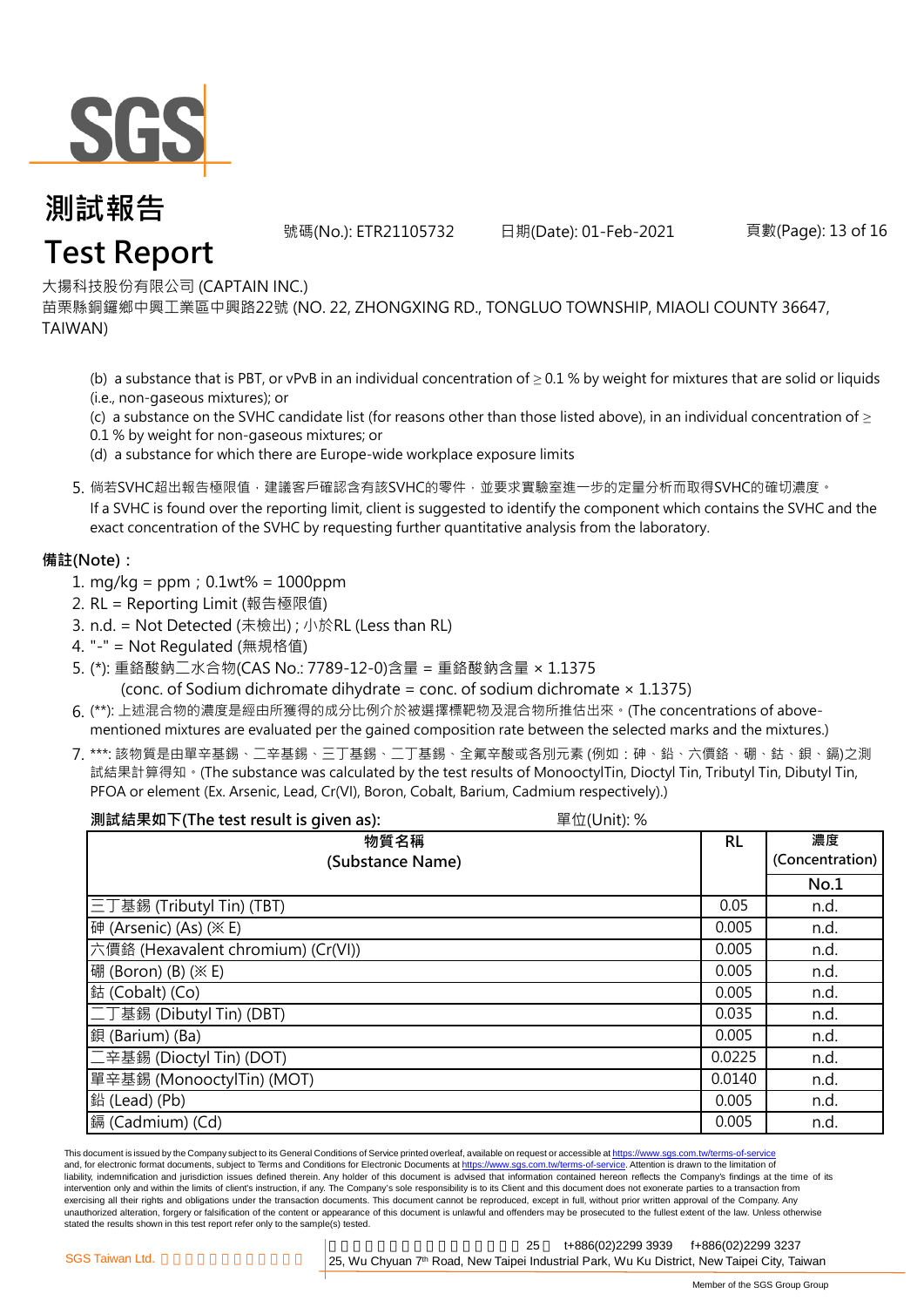

號碼(No.): ETR21105732 日期(Date): 01-Feb-2021 頁數(Page): 13 of 16

### **Test Report**

大揚科技股份有限公司 (CAPTAIN INC.)

苗栗縣銅鑼鄉中興工業區中興路22號 (NO. 22, ZHONGXING RD., TONGLUO TOWNSHIP, MIAOLI COUNTY 36647, TAIWAN)

(b) a substance that is PBT, or vPvB in an individual concentration of  $\geq$  0.1 % by weight for mixtures that are solid or liquids (i.e., non-gaseous mixtures); or

(c) a substance on the SVHC candidate list (for reasons other than those listed above), in an individual concentration of  $\geq$ 

0.1 % by weight for non-gaseous mixtures; or

(d) a substance for which there are Europe-wide workplace exposure limits

5. 倘若SVHC超出報告極限值 · 建議客戶確認含有該SVHC的零件 · 並要求實驗室進一步的定量分析而取得SVHC的確切濃度 ·

If a SVHC is found over the reporting limit, client is suggested to identify the component which contains the SVHC and the exact concentration of the SVHC by requesting further quantitative analysis from the laboratory.

#### **備註(Note):**

- 1. mg/kg = ppm;0.1wt% = 1000ppm
- 2. RL = Reporting Limit (報告極限值)
- 3. n.d. = Not Detected (未檢出) ; 小於RL (Less than RL)
- 4. "-" = Not Regulated (無規格值)
- 5. (\*): 重鉻酸鈉二水合物(CAS No.: 7789-12-0)含量 = 重鉻酸鈉含量 × 1.1375 (conc. of Sodium dichromate dihydrate = conc. of sodium dichromate  $\times$  1.1375)
- 6. (\*\*): 上述混合物的濃度是經由所獲得的成分比例介於被選擇標靶物及混合物所推估出來。(The concentrations of abovementioned mixtures are evaluated per the gained composition rate between the selected marks and the mixtures.)
- 7. \*\*\*: 該物質是由單辛基錫、二辛基錫、三丁基錫、二丁基錫、全氟辛酸或各別元素 (例如:砷、鉛、六價鉻、硼、鈷、鋇、鎘)之測 試結果計算得知。(The substance was calculated by the test results of MonooctylTin, Dioctyl Tin, Tributyl Tin, Dibutyl Tin, PFOA or element (Ex. Arsenic, Lead, Cr(VI), Boron, Cobalt, Barium, Cadmium respectively).)

| 測試結果如下(The test result is given as):<br>單位(Unit):% |           |                 |
|----------------------------------------------------|-----------|-----------------|
| 物質名稱                                               | <b>RL</b> | 濃度              |
| (Substance Name)                                   |           | (Concentration) |
|                                                    |           | No.1            |
| 三丁基錫 (Tributyl Tin) (TBT)                          | 0.05      | n.d.            |
| 砷 (Arsenic) (As) (※ E)                             | 0.005     | n.d.            |
| 六價鉻 (Hexavalent chromium) (Cr(VI))                 | 0.005     | n.d.            |
| 硼 (Boron) (B) (※ E)                                | 0.005     | n.d.            |
| 鈷 (Cobalt) (Co)                                    | 0.005     | n.d.            |
| 二丁基錫 (Dibutyl Tin) (DBT)                           | 0.035     | n.d.            |
| 鋇 (Barium) (Ba)                                    | 0.005     | n.d.            |
| 二辛基錫 (Dioctyl Tin) (DOT)                           | 0.0225    | n.d.            |
| 單辛基錫 (MonooctylTin) (MOT)                          | 0.0140    | n.d.            |
| 鉛 (Lead) (Pb)                                      | 0.005     | n.d.            |
| 鎘 (Cadmium) (Cd)                                   | 0.005     | n.d.            |

This document is issued by the Company subject to its General Conditions of Service printed overleaf, available on request or accessible at https://www.sgs.com.tw/terms-of-service and, for electronic format documents, subject to Terms and Conditions for Electronic Documents at https://www.sgs.com.tw/terms-of-service. Attention is drawn to the limitation of liability, indemnification and jurisdiction issues defined therein. Any holder of this document is advised that information contained hereon reflects the Company's findings at the time of its intervention only and within the limits of client's instruction, if any. The Company's sole responsibility is to its Client and this document does not exonerate parties to a transaction from exercising all their rights and obligations under the transaction documents. This document cannot be reproduced, except in full, without prior written approval of the Company. Any unauthorized alteration, forgery or falsification of the content or appearance of this document is unlawful and offenders may be prosecuted to the fullest extent of the law. Unless otherwise stated the results shown in this test report refer only to the sample(s) tested.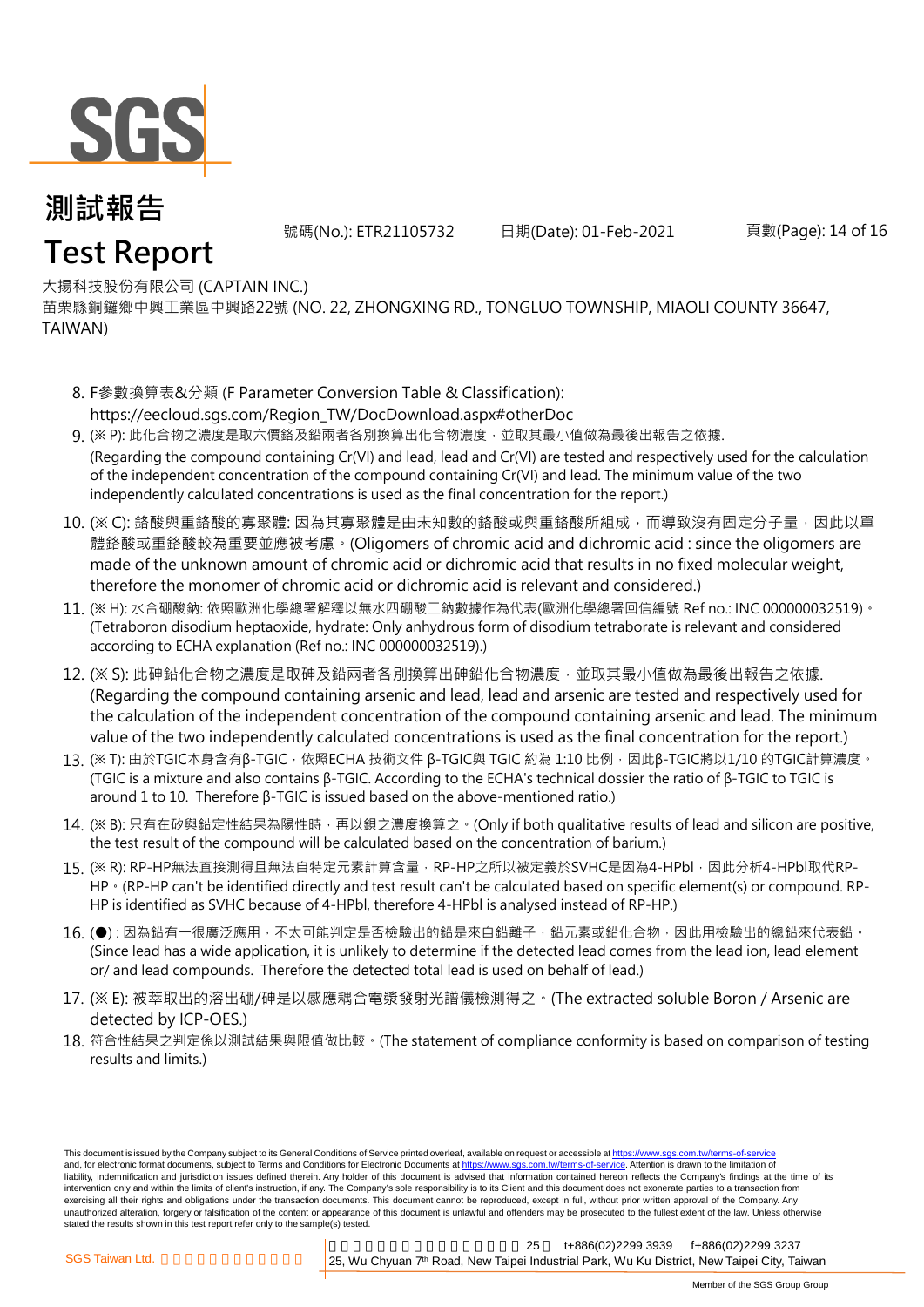

**Test Report**

號碼(No.): ETR21105732 日期(Date): 01-Feb-2021 頁數(Page): 14 of 16

#### 大揚科技股份有限公司 (CAPTAIN INC.)

苗栗縣銅鑼鄉中興工業區中興路22號 (NO. 22, ZHONGXING RD., TONGLUO TOWNSHIP, MIAOLI COUNTY 36647, TAIWAN)

- 8. F參數換算表&分類 (F Parameter Conversion Table & Classification):[https:/](https://eecloud.sgs.com/Region_TW/DocDownload.aspx#otherDoc)/eecloud.sgs.com/Region\_TW/DocDownload.aspx#otherDoc
- 9. (※ P): 此化合物之濃度是取六價鉻及鉛兩者各別換算出化合物濃度 · 並取其最小值做為最後出報告之依據. (Regarding the compound containing Cr(VI) and lead, lead and Cr(VI) are tested and respectively used for the calculation of the independent concentration of the compound containing Cr(VI) and lead. The minimum value of the two independently calculated concentrations is used as the final concentration for the report.)
- 10. (※ C): 鉻酸與重鉻酸的寡聚體: 因為其寡聚體是由未知數的鉻酸或與重鉻酸所組成,而導致沒有固定分子量,因此以單 體鉻酸或重鉻酸較為重要並應被考慮。(Oligomers of chromic acid and dichromic acid : since the oligomers are made of the unknown amount of chromic acid or dichromic acid that results in no fixed molecular weight, therefore the monomer of chromic acid or dichromic acid is relevant and considered.)
- 11. (※ H): 水合硼酸鈉: 依照歐洲化學總署解釋以無水四硼酸二鈉數據作為代表(歐洲化學總署回信編號 Ref no.: INC 000000032519)。 (Tetraboron disodium heptaoxide, hydrate: Only anhydrous form of disodium tetraborate is relevant and considered according to ECHA explanation (Ref no.: INC 000000032519).)
- 12. (※ S): 此砷鉛化合物之濃度是取砷及鉛兩者各別換算出砷鉛化合物濃度, 並取其最小值做為最後出報告之依據. (Regarding the compound containing arsenic and lead, lead and arsenic are tested and respectively used for the calculation of the independent concentration of the compound containing arsenic and lead. The minimum value of the two independently calculated concentrations is used as the final concentration for the report.)
- 13. (※ T): 由於TGIC本身含有β-TGIC · 依照ECHA 技術文件 β-TGIC與 TGIC 約為 1:10 比例 · 因此β-TGIC將以1/10 的TGIC計算濃度 。 (TGIC is a mixture and also contains β-TGIC. According to the ECHA's technical dossier the ratio of β-TGIC to TGIC is around 1 to 10. Therefore β-TGIC is issued based on the above-mentioned ratio.)
- 14. (※ B): 只有在矽與鉛定性結果為陽性時,再以鋇之濃度換算之。(Only if both qualitative results of lead and silicon are positive, the test result of the compound will be calculated based on the concentration of barium.)
- 15. (※ R): RP-HP無法直接測得且無法自特定元素計算含量,RP-HP之所以被定義於SVHC是因為4-HPbl,因此分析4-HPbl取代RP-HP  $\cdot$  (RP-HP can't be identified directly and test result can't be calculated based on specific element(s) or compound. RP-HP is identified as SVHC because of 4-HPbl, therefore 4-HPbl is analysed instead of RP-HP.)
- 16. (●): 因為鉛有一很廣泛應用 · 不太可能判定是否檢驗出的鉛是來自鉛離子 · 鉛元素或鉛化合物 · 因此用檢驗出的總鉛來代表鉛 · (Since lead has a wide application, it is unlikely to determine if the detected lead comes from the lead ion, lead element or/ and lead compounds. Therefore the detected total lead is used on behalf of lead.)
- 17. (※ E): 被萃取出的溶出硼/砷是以感應耦合電漿發射光譜儀檢測得之。(The extracted soluble Boron / Arsenic are detected by ICP-OES.)
- 18. 符合性結果之判定係以測試結果與限值做比較。(The statement of compliance conformity is based on comparison of testing results and limits.)

This document is issued by the Company subject to its General Conditions of Service printed overleaf, available on request or accessible at https://www.sgs.com.tw/terms-of-service and, for electronic format documents, subject to Terms and Conditions for Electronic Documents at https://www.sgs.com.tw/terms-of-service. Attention is drawn to the limitation of liability, indemnification and jurisdiction issues defined therein. Any holder of this document is advised that information contained hereon reflects the Company's findings at the time of its intervention only and within the limits of client's instruction, if any. The Company's sole responsibility is to its Client and this document does not exonerate parties to a transaction from exercising all their rights and obligations under the transaction documents. This document cannot be reproduced, except in full, without prior written approval of the Company. Any unauthorized alteration, forgery or falsification of the content or appearance of this document is unlawful and offenders may be prosecuted to the fullest extent of the law. Unless otherwise stated the results shown in this test report refer only to the sample(s) tested.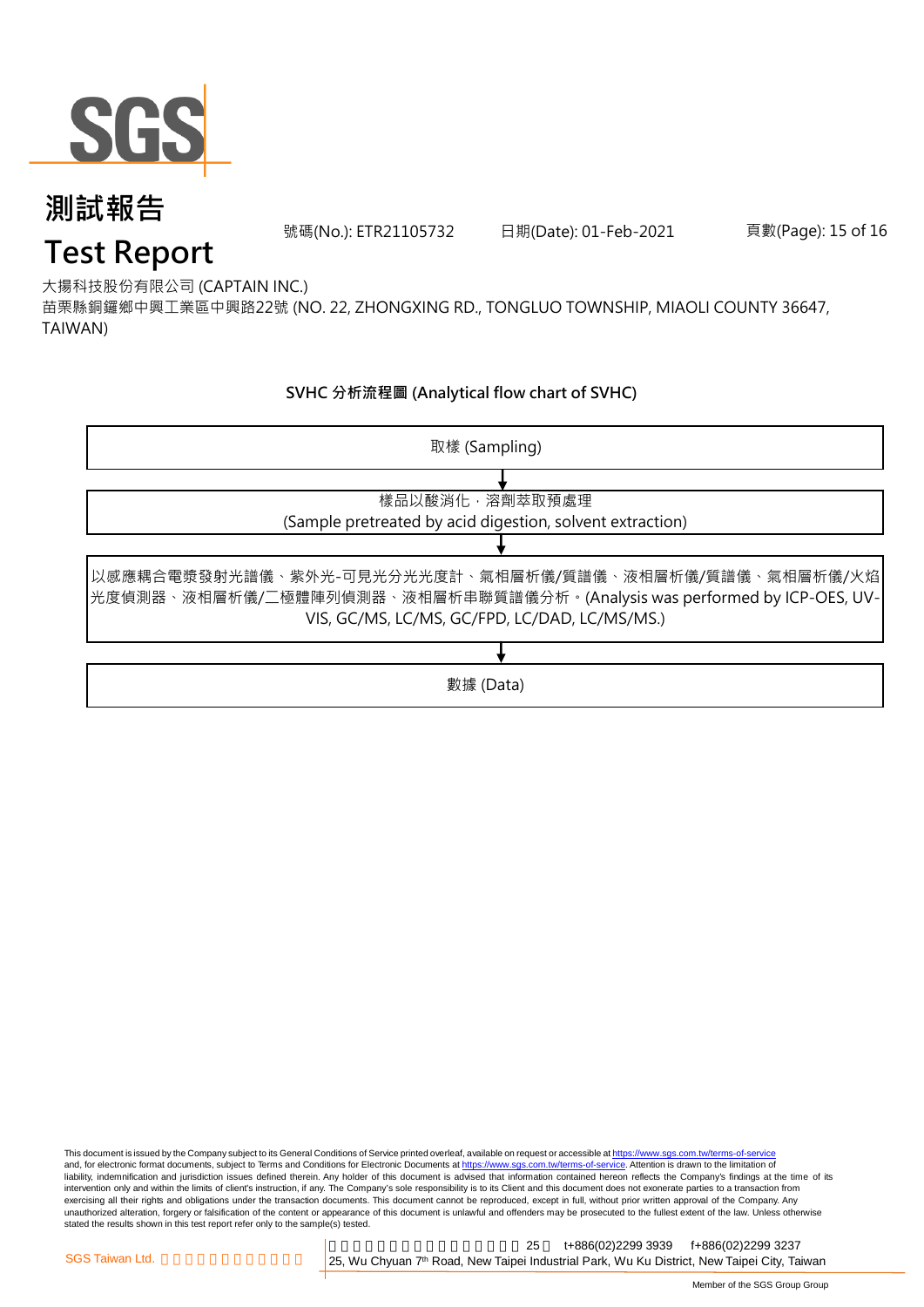

號碼(No.): ETR21105732 日期(Date): 01-Feb-2021 頁數(Page): 15 of 16

## **Test Report**

大揚科技股份有限公司 (CAPTAIN INC.)

苗栗縣銅鑼鄉中興工業區中興路22號 (NO. 22, ZHONGXING RD., TONGLUO TOWNSHIP, MIAOLI COUNTY 36647, TAIWAN)

#### **SVHC 分析流程圖 (Analytical flow chart of SVHC)**



This document is issued by the Company subject to its General Conditions of Service printed overleaf, available on request or accessible at https://www.sgs.com.tw/terms-of-service and, for electronic format documents, subject to Terms and Conditions for Electronic Documents at https://www.sgs.com.tw/terms-of-service. Attention is drawn to the limitation of liability, indemnification and jurisdiction issues defined therein. Any holder of this document is advised that information contained hereon reflects the Company's findings at the time of its intervention only and within the limits of client's instruction, if any. The Company's sole responsibility is to its Client and this document does not exonerate parties to a transaction from exercising all their rights and obligations under the transaction documents. This document cannot be reproduced, except in full, without prior written approval of the Company. Any<br>unauthorized alteration, forgery or falsif stated the results shown in this test report refer only to the sample(s) tested.